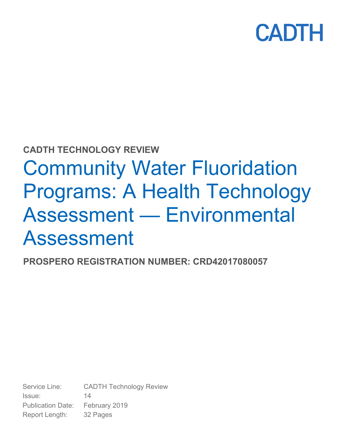

### **CADTH TECHNOLOGY REVIEW**

# Community Water Fluoridation Programs: A Health Technology Assessment — Environmental Assessment

**PROSPERO REGISTRATION NUMBER: CRD42017080057** 

Service Line: CADTH Technology Review Issue: 14 Publication Date: February 2019 Report Length: 32 Pages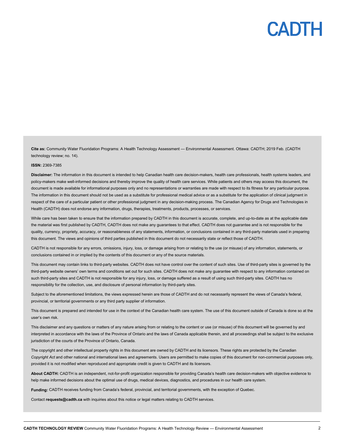**Cite as:** Community Water Fluoridation Programs: A Health Technology Assessment — Environmental Assessment. Ottawa: CADTH; 2019 Feb. (CADTH technology review; no. 14).

#### **ISSN:** 2369-7385

**Disclaimer:** The information in this document is intended to help Canadian health care decision-makers, health care professionals, health systems leaders, and policy-makers make well-informed decisions and thereby improve the quality of health care services. While patients and others may access this document, the document is made available for informational purposes only and no representations or warranties are made with respect to its fitness for any particular purpose. The information in this document should not be used as a substitute for professional medical advice or as a substitute for the application of clinical judgment in respect of the care of a particular patient or other professional judgment in any decision-making process. The Canadian Agency for Drugs and Technologies in Health (CADTH) does not endorse any information, drugs, therapies, treatments, products, processes, or services.

While care has been taken to ensure that the information prepared by CADTH in this document is accurate, complete, and up-to-date as at the applicable date the material was first published by CADTH, CADTH does not make any guarantees to that effect. CADTH does not guarantee and is not responsible for the quality, currency, propriety, accuracy, or reasonableness of any statements, information, or conclusions contained in any third-party materials used in preparing this document. The views and opinions of third parties published in this document do not necessarily state or reflect those of CADTH.

CADTH is not responsible for any errors, omissions, injury, loss, or damage arising from or relating to the use (or misuse) of any information, statements, or conclusions contained in or implied by the contents of this document or any of the source materials.

This document may contain links to third-party websites. CADTH does not have control over the content of such sites. Use of third-party sites is governed by the third-party website owners' own terms and conditions set out for such sites. CADTH does not make any guarantee with respect to any information contained on such third-party sites and CADTH is not responsible for any injury, loss, or damage suffered as a result of using such third-party sites. CADTH has no responsibility for the collection, use, and disclosure of personal information by third-party sites.

Subject to the aforementioned limitations, the views expressed herein are those of CADTH and do not necessarily represent the views of Canada's federal, provincial, or territorial governments or any third party supplier of information.

This document is prepared and intended for use in the context of the Canadian health care system. The use of this document outside of Canada is done so at the user's own risk.

This disclaimer and any questions or matters of any nature arising from or relating to the content or use (or misuse) of this document will be governed by and interpreted in accordance with the laws of the Province of Ontario and the laws of Canada applicable therein, and all proceedings shall be subject to the exclusive jurisdiction of the courts of the Province of Ontario, Canada.

The copyright and other intellectual property rights in this document are owned by CADTH and its licensors. These rights are protected by the Canadian *Copyright Act* and other national and international laws and agreements. Users are permitted to make copies of this document for non-commercial purposes only, provided it is not modified when reproduced and appropriate credit is given to CADTH and its licensors.

**About CADTH:** CADTH is an independent, not-for-profit organization responsible for providing Canada's health care decision-makers with objective evidence to help make informed decisions about the optimal use of drugs, medical devices, diagnostics, and procedures in our health care system.

**Funding:** CADTH receives funding from Canada's federal, provincial, and territorial governments, with the exception of Quebec.

Contact **requests@cadth.ca** with inquiries about this notice or legal matters relating to CADTH services.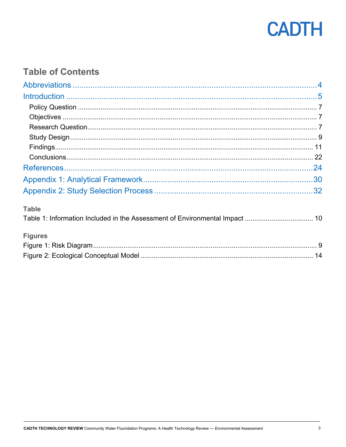

### **Table of Contents**

| <b>Table</b> |  |
|--------------|--|

| <b>Figures</b> |  |
|----------------|--|
|                |  |
|                |  |

Table 1: Information Included in the Assessment of Environmental Impact .................................. 10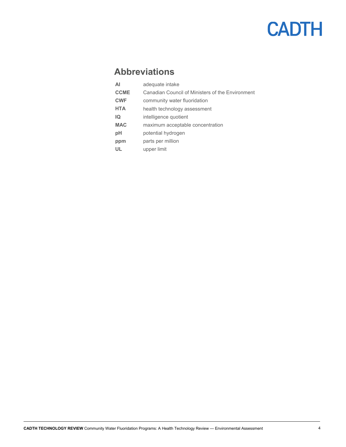### **Abbreviations**

| ΑI          | adequate intake                                  |
|-------------|--------------------------------------------------|
| <b>CCME</b> | Canadian Council of Ministers of the Environment |
| <b>CWF</b>  | community water fluoridation                     |
| <b>HTA</b>  | health technology assessment                     |
| IQ          | intelligence quotient                            |
| <b>MAC</b>  | maximum acceptable concentration                 |
| рH          | potential hydrogen                               |
| ppm         | parts per million                                |
| Ш           | upper limit                                      |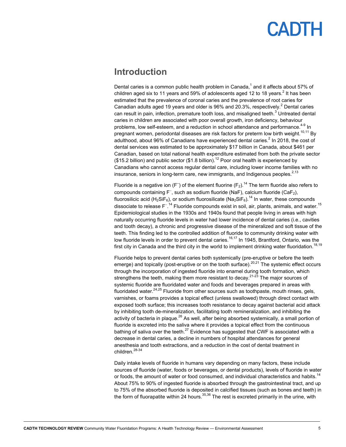### **Introduction**

Dental caries is a common public health problem in Canada, $^1$  and it affects about 57% of children aged six to 11 years and 59% of adolescents aged 12 to 18 years. $^2$  It has been estimated that the prevalence of coronal caries and the prevalence of root caries for Canadian adults aged 19 years and older is 96% and 20.3%, respectively.<sup>2</sup> Dental caries can result in pain, infection, premature tooth loss, and misaligned teeth. $^3$  Untreated dental caries in children are associated with poor overall growth, iron deficiency, behaviour problems, low self-esteem, and a reduction in school attendance and performance.<sup>4-9</sup> In pregnant women, periodontal diseases are risk factors for preterm low birth weight.<sup>10,11</sup> By adulthood, about 96% of Canadians have experienced dental caries. $^2$  In 2018, the cost of dental services was estimated to be approximately \$17 billion in Canada, about \$461 per Canadian, based on total national health expenditure estimated from both the private sector (\$15.2 billion) and public sector (\$1.8 billion).<sup>12</sup> Poor oral health is experienced by Canadians who cannot access regular dental care, including lower income families with no insurance, seniors in long-term care, new immigrants, and Indigenous peoples.<sup>2,13</sup>

Fluoride is a negative ion (F ̄) of the element fluorine (F $_2$ ).<sup>14</sup> The term fluoride also refers to compounds containing F<sup>-</sup>, such as sodium fluoride (NaF), calcium fluoride (CaF<sub>2</sub>), fluorosilicic acid (H<sub>2</sub>SiF<sub>6</sub>), or sodium fluorosilicate (Na<sub>2</sub>SiF<sub>6</sub>).<sup>14</sup> In water, these compounds dissociate to release F<sup>- 14</sup> Fluoride compounds exist in soil, air, plants, animals, and water.<sup>15</sup> Epidemiological studies in the 1930s and 1940s found that people living in areas with high naturally occurring fluoride levels in water had lower incidence of dental caries (i.e., cavities and tooth decay), a chronic and progressive disease of the mineralized and soft tissue of the teeth. This finding led to the controlled addition of fluoride to community drinking water with low fluoride levels in order to prevent dental caries.<sup>16,17</sup> In 1945, Brantford, Ontario, was the first city in Canada and the third city in the world to implement drinking water fluoridation.<sup>18,19</sup>

Fluoride helps to prevent dental caries both systemically (pre-eruptive or before the teeth emerge) and topically (post-eruptive or on the tooth surface).<sup>20,21</sup> The systemic effect occurs through the incorporation of ingested fluoride into enamel during tooth formation, which strengthens the teeth, making them more resistant to decay.<sup>21-23</sup> The major sources of systemic fluoride are fluoridated water and foods and beverages prepared in areas with fluoridated water. $24,25$  Fluoride from other sources such as toothpaste, mouth rinses, gels, varnishes, or foams provides a topical effect (unless swallowed) through direct contact with exposed tooth surface; this increases tooth resistance to decay against bacterial acid attack by inhibiting tooth de-mineralization, facilitating tooth remineralization, and inhibiting the activity of bacteria in plaque.<sup>26</sup> As well, after being absorbed systemically, a small portion of fluoride is excreted into the saliva where it provides a topical effect from the continuous bathing of saliva over the teeth.<sup>27</sup> Evidence has suggested that CWF is associated with a decrease in dental caries, a decline in numbers of hospital attendances for general anesthesia and tooth extractions, and a reduction in the cost of dental treatment in children.<sup>28-34</sup>

Daily intake levels of fluoride in humans vary depending on many factors, these include sources of fluoride (water, foods or beverages, or dental products), levels of fluoride in water or foods, the amount of water or food consumed, and individual characteristics and habits.<sup>14</sup> About 75% to 90% of ingested fluoride is absorbed through the gastrointestinal tract, and up to 75% of the absorbed fluoride is deposited in calcified tissues (such as bones and teeth) in the form of fluorapatite within 24 hours.<sup>35,36</sup> The rest is excreted primarily in the urine, with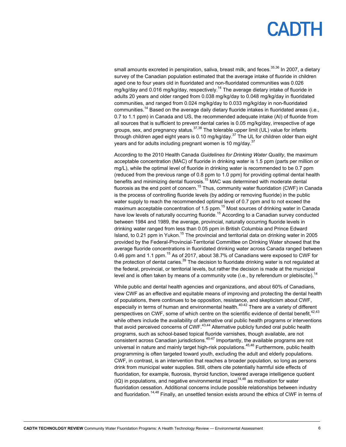## EADIH

small amounts excreted in perspiration, saliva, breast milk, and feces.<sup>35,36</sup> In 2007, a dietary survey of the Canadian population estimated that the average intake of fluoride in children aged one to four years old in fluoridated and non-fluoridated communities was 0.026 mg/kg/day and 0.016 mg/kg/day, respectively.<sup>14</sup> The average dietary intake of fluoride in adults 20 years and older ranged from 0.038 mg/kg/day to 0.048 mg/kg/day in fluoridated communities, and ranged from 0.024 mg/kg/day to 0.033 mg/kg/day in non-fluoridated communities.<sup>14</sup> Based on the average daily dietary fluoride intakes in fluoridated areas (i.e., 0.7 to 1.1 ppm) in Canada and US, the recommended adequate intake (AI) of fluoride from all sources that is sufficient to prevent dental caries is 0.05 mg/kg/day, irrespective of age groups, sex, and pregnancy status.37,38 The tolerable upper limit (UL) value for infants through children aged eight years is 0.10 mg/kg/day.<sup>37</sup> The UL for children older than eight years and for adults including pregnant women is 10 mg/day.<sup>37</sup>

According to the 2010 Health Canada *Guidelines for Drinking Water Quality*, the maximum acceptable concentration (MAC) of fluoride in drinking water is 1.5 ppm (parts per million or mg/L), while the optimal level of fluoride in drinking water is recommended to be 0.7 ppm (reduced from the previous range of 0.8 ppm to 1.0 ppm) for providing optimal dental health benefits and minimizing dental fluorosis.<sup>15</sup> MAC was determined with moderate dental fluorosis as the end point of concern.<sup>15</sup> Thus, community water fluoridation (CWF) in Canada is the process of controlling fluoride levels (by adding or removing fluoride) in the public water supply to reach the recommended optimal level of 0.7 ppm and to not exceed the maximum acceptable concentration of 1.5 ppm. $^{15}$  Most sources of drinking water in Canada have low levels of naturally occurring fluoride.<sup>15</sup> According to a Canadian survey conducted between 1984 and 1989, the average, provincial, naturally occurring fluoride levels in drinking water ranged from less than 0.05 ppm in British Columbia and Prince Edward Island, to 0.21 ppm in Yukon.<sup>15</sup> The provincial and territorial data on drinking water in 2005 provided by the Federal-Provincial-Territorial Committee on Drinking Water showed that the average fluoride concentrations in fluoridated drinking water across Canada ranged between 0.46 ppm and 1.1 ppm.<sup>15</sup> As of 2017, about 38.7% of Canadians were exposed to CWF for the protection of dental caries.<sup>39</sup> The decision to fluoridate drinking water is not regulated at the federal, provincial, or territorial levels, but rather the decision is made at the municipal level and is often taken by means of a community vote (i.e., by referendum or plebiscite).<sup>14</sup>

While public and dental health agencies and organizations, and about 60% of Canadians, view CWF as an effective and equitable means of improving and protecting the dental health of populations, there continues to be opposition, resistance, and skepticism about CWF, especially in terms of human and environmental health.<sup>40-42</sup> There are a variety of different perspectives on CWF, some of which centre on the scientific evidence of dental benefit.<sup>42,43</sup> while others include the availability of alternative oral public health programs or interventions that avoid perceived concerns of  $CWF$ .<sup>43,44</sup> Alternative publicly funded oral public health programs, such as school-based topical fluoride varnishes, though available, are not consistent across Canadian jurisdictions. $45-47$  Importantly, the available programs are not universal in nature and mainly target high-risk populations.<sup>45,46</sup> Furthermore, public health programming is often targeted toward youth, excluding the adult and elderly populations. CWF, in contrast, is an intervention that reaches a broader population, so long as persons drink from municipal water supplies. Still, others cite potentially harmful side effects of fluoridation, for example, fluorosis, thyroid function, lowered average intelligence quotient  $(IQ)$  in populations, and negative environmental impact<sup>14,48</sup> as motivation for water fluoridation cessation. Additional concerns include possible relationships between industry and fluoridation.<sup>14,48</sup> Finally, an unsettled tension exists around the ethics of CWF in terms of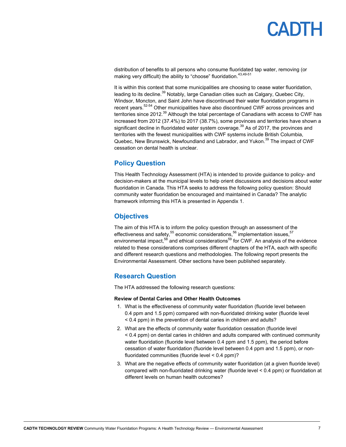# PADTH

distribution of benefits to all persons who consume fluoridated tap water, removing (or making very difficult) the ability to "choose" fluoridation.<sup>43,49-51</sup>

It is within this context that some municipalities are choosing to cease water fluoridation, leading to its decline.<sup>39</sup> Notably, large Canadian cities such as Calgary, Quebec City, Windsor, Moncton, and Saint John have discontinued their water fluoridation programs in recent years.<sup>52-54</sup> Other municipalities have also discontinued CWF across provinces and territories since 2012.<sup>39</sup> Although the total percentage of Canadians with access to CWF has increased from 2012 (37.4%) to 2017 (38.7%), some provinces and territories have shown a significant decline in fluoridated water system coverage.<sup>39</sup> As of 2017, the provinces and territories with the fewest municipalities with CWF systems include British Columbia, Quebec, New Brunswick, Newfoundland and Labrador, and Yukon.<sup>39</sup> The impact of CWF cessation on dental health is unclear.

### **Policy Question**

This Health Technology Assessment (HTA) is intended to provide guidance to policy- and decision-makers at the municipal levels to help orient discussions and decisions about water fluoridation in Canada. This HTA seeks to address the following policy question: Should community water fluoridation be encouraged and maintained in Canada? The analytic framework informing this HTA is presented in Appendix 1.

### **Objectives**

The aim of this HTA is to inform the policy question through an assessment of the effectiveness and safety,  $55$  economic considerations,  $56$  implementation issues,  $57$ environmental impact, $58$  and ethical considerations $59$  for CWF. An analysis of the evidence related to these considerations comprises different chapters of the HTA, each with specific and different research questions and methodologies. The following report presents the Environmental Assessment. Other sections have been published separately.

### **Research Question**

The HTA addressed the following research questions:

### **Review of Dental Caries and Other Health Outcomes**

- 1. What is the effectiveness of community water fluoridation (fluoride level between 0.4 ppm and 1.5 ppm) compared with non-fluoridated drinking water (fluoride level < 0.4 ppm) in the prevention of dental caries in children and adults?
- 2. What are the effects of community water fluoridation cessation (fluoride level < 0.4 ppm) on dental caries in children and adults compared with continued community water fluoridation (fluoride level between 0.4 ppm and 1.5 ppm), the period before cessation of water fluoridation (fluoride level between 0.4 ppm and 1.5 ppm), or nonfluoridated communities (fluoride level < 0.4 ppm)?
- 3. What are the negative effects of community water fluoridation (at a given fluoride level) compared with non-fluoridated drinking water (fluoride level < 0.4 ppm) or fluoridation at different levels on human health outcomes?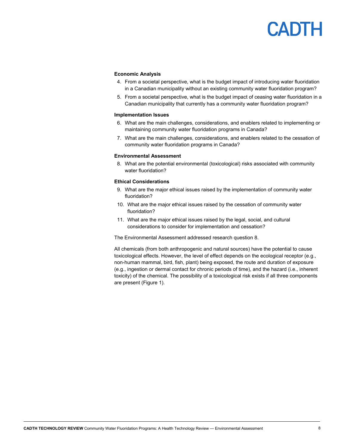### **Economic Analysis**

- 4. From a societal perspective, what is the budget impact of introducing water fluoridation in a Canadian municipality without an existing community water fluoridation program?
- 5. From a societal perspective, what is the budget impact of ceasing water fluoridation in a Canadian municipality that currently has a community water fluoridation program?

### **Implementation Issues**

- 6. What are the main challenges, considerations, and enablers related to implementing or maintaining community water fluoridation programs in Canada?
- 7. What are the main challenges, considerations, and enablers related to the cessation of community water fluoridation programs in Canada?

### **Environmental Assessment**

8. What are the potential environmental (toxicological) risks associated with community water fluoridation?

#### **Ethical Considerations**

- 9. What are the major ethical issues raised by the implementation of community water fluoridation?
- 10. What are the major ethical issues raised by the cessation of community water fluoridation?
- 11. What are the major ethical issues raised by the legal, social, and cultural considerations to consider for implementation and cessation?

The Environmental Assessment addressed research question 8.

All chemicals (from both anthropogenic and natural sources) have the potential to cause toxicological effects. However, the level of effect depends on the ecological receptor (e.g., non-human mammal, bird, fish, plant) being exposed, the route and duration of exposure (e.g., ingestion or dermal contact for chronic periods of time), and the hazard (i.e., inherent toxicity) of the chemical. The possibility of a toxicological risk exists if all three components are present (Figure 1).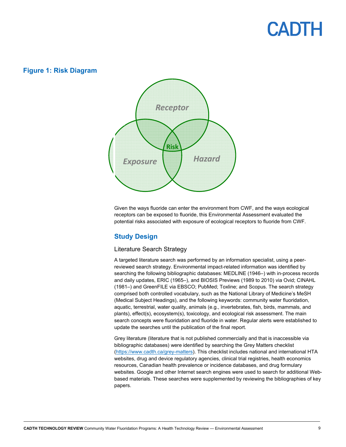### **Figure 1: Risk Diagram**



Given the ways fluoride can enter the environment from CWF, and the ways ecological receptors can be exposed to fluoride, this Environmental Assessment evaluated the potential risks associated with exposure of ecological receptors to fluoride from CWF.

### **Study Design**

### Literature Search Strategy

A targeted literature search was performed by an information specialist, using a peerreviewed search strategy. Environmental impact-related information was identified by searching the following bibliographic databases: MEDLINE (1946–) with in-process records and daily updates, ERIC (1965–), and BIOSIS Previews (1989 to 2010) via Ovid; CINAHL (1981–) and GreenFILE via EBSCO; PubMed; Toxline; and Scopus. The search strategy comprised both controlled vocabulary, such as the National Library of Medicine's MeSH (Medical Subject Headings), and the following keywords: community water fluoridation, aquatic, terrestrial, water quality, animals (e.g., invertebrates, fish, birds, mammals, and plants), effect(s), ecosystem(s), toxicology, and ecological risk assessment. The main search concepts were fluoridation and fluoride in water. Regular alerts were established to update the searches until the publication of the final report.

Grey literature (literature that is not published commercially and that is inaccessible via bibliographic databases) were identified by searching the Grey Matters checklist (https://www.cadth.ca/grey-matters). This checklist includes national and international HTA websites, drug and device regulatory agencies, clinical trial registries, health economics resources, Canadian health prevalence or incidence databases, and drug formulary websites. Google and other Internet search engines were used to search for additional Webbased materials. These searches were supplemented by reviewing the bibliographies of key papers.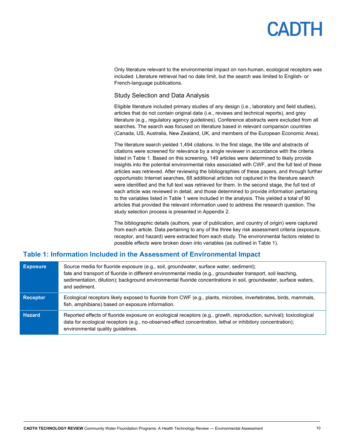Only literature relevant to the environmental impact on non-human, ecological receptors was included. Literature retrieval had no date limit, but the search was limited to English- or French-language publications.

### Study Selection and Data Analysis

Eligible literature included primary studies of any design (i.e., laboratory and field studies), articles that do not contain original data (i.e., reviews and technical reports), and grey literature (e.g., regulatory agency guidelines). Conference abstracts were excluded from all searches. The search was focused on literature based in relevant comparison countries (Canada, US, Australia, New Zealand, UK, and members of the European Economic Area).

The literature search yielded 1,494 citations. In the first stage, the title and abstracts of citations were screened for relevance by a single reviewer in accordance with the criteria listed in Table 1. Based on this screening, 149 articles were determined to likely provide insights into the potential environmental risks associated with CWF, and the full text of these articles was retrieved. After reviewing the bibliographies of these papers, and through further opportunistic Internet searches, 68 additional articles not captured in the literature search were identified and the full text was retrieved for them. In the second stage, the full text of each article was reviewed in detail, and those determined to provide information pertaining to the variables listed in Table 1 were included in the analysis. This yielded a total of 90 articles that provided the relevant information used to address the research question. The study selection process is presented in Appendix 2.

The bibliographic details (authors, year of publication, and country of origin) were captured from each article. Data pertaining to any of the three key risk assessment criteria (exposure, receptor, and hazard) were extracted from each study. The environmental factors related to possible effects were broken down into variables (as outlined in Table 1).

### **Table 1: Information Included in the Assessment of Environmental Impact**

| <b>Exposure</b> | Source media for fluoride exposure (e.g., soil, groundwater, surface water, sediment);<br>fate and transport of fluoride in different environmental media (e.g., groundwater transport, soil leaching,<br>sedimentation, dilution); background environmental fluoride concentrations in soil, groundwater, surface waters,<br>and sediment. |
|-----------------|---------------------------------------------------------------------------------------------------------------------------------------------------------------------------------------------------------------------------------------------------------------------------------------------------------------------------------------------|
| <b>Receptor</b> | Ecological receptors likely exposed to fluoride from CWF (e.g., plants, microbes, invertebrates, birds, mammals,<br>fish, amphibians) based on exposure information.                                                                                                                                                                        |
| <b>Hazard</b>   | Reported effects of fluoride exposure on ecological receptors (e.g., growth, reproduction, survival); toxicological<br>data for ecological receptors (e.g., no-observed-effect concentration, lethal or inhibitory concentration);<br>environmental quality guidelines.                                                                     |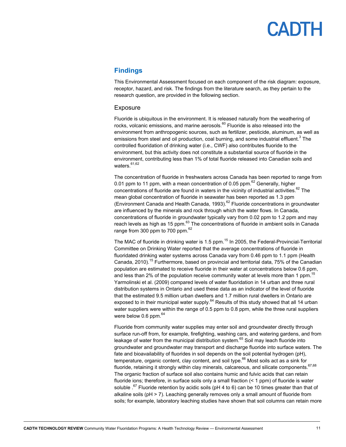# PADTH

### **Findings**

This Environmental Assessment focused on each component of the risk diagram: exposure, receptor, hazard, and risk. The findings from the literature search, as they pertain to the research question, are provided in the following section.

### Exposure

Fluoride is ubiquitous in the environment. It is released naturally from the weathering of rocks, volcanic emissions, and marine aerosols. $^{60}$  Fluoride is also released into the environment from anthropogenic sources, such as fertilizer, pesticide, aluminum, as well as emissions from steel and oil production, coal burning, and some industrial effluent. $^3$  The controlled fluoridation of drinking water (i.e., CWF) also contributes fluoride to the environment, but this activity does not constitute a substantial source of fluoride in the environment, contributing less than 1% of total fluoride released into Canadian soils and waters.<sup>61,62</sup>

The concentration of fluoride in freshwaters across Canada has been reported to range from 0.01 ppm to 11 ppm, with a mean concentration of 0.05 ppm. $^{62}$  Generally, higher concentrations of fluoride are found in waters in the vicinity of industrial activities. $62$  The mean global concentration of fluoride in seawater has been reported as 1.3 ppm (Environment Canada and Health Canada, 1993).<sup>62</sup> Fluoride concentrations in groundwater are influenced by the minerals and rock through which the water flows. In Canada, concentrations of fluoride in groundwater typically vary from 0.02 ppm to 1.2 ppm and may reach levels as high as 15 ppm.<sup>63</sup> The concentrations of fluoride in ambient soils in Canada range from 300 ppm to 700 ppm.<sup>62</sup>

The MAC of fluoride in drinking water is 1.5 ppm.<sup>15</sup> In 2005, the Federal-Provincial-Territorial Committee on Drinking Water reported that the average concentrations of fluoride in fluoridated drinking water systems across Canada vary from 0.46 ppm to 1.1 ppm (Health Canada, 2010).<sup>15</sup> Furthermore, based on provincial and territorial data, 75% of the Canadian population are estimated to receive fluoride in their water at concentrations below 0.6 ppm, and less than 2% of the population receive community water at levels more than 1 ppm.<sup>15</sup> Yarmolinski et al. (2009) compared levels of water fluoridation in 14 urban and three rural distribution systems in Ontario and used these data as an indicator of the level of fluoride that the estimated 9.5 million urban dwellers and 1.7 million rural dwellers in Ontario are exposed to in their municipal water supply. $64$  Results of this study showed that all 14 urban water suppliers were within the range of 0.5 ppm to 0.8 ppm, while the three rural suppliers were below 0.6 ppm.<sup>64</sup>

Fluoride from community water supplies may enter soil and groundwater directly through surface run-off from, for example, firefighting, washing cars, and watering gardens, and from leakage of water from the municipal distribution system. $65$  Soil may leach fluoride into groundwater and groundwater may transport and discharge fluoride into surface waters. The fate and bioavailability of fluorides in soil depends on the soil potential hydrogen (pH), temperature, organic content, clay content, and soil type.<sup>66</sup> Most soils act as a sink for fluoride, retaining it strongly within clay minerals, calcareous, and silicate components.  $67,68$ The organic fraction of surface soil also contains humic and fulvic acids that can retain fluoride ions; therefore, in surface soils only a small fraction (< 1 ppm) of fluoride is water soluble  $.67$  Fluoride retention by acidic soils (pH 4 to 6) can be 10 times greater than that of alkaline soils (pH > 7). Leaching generally removes only a small amount of fluoride from soils; for example, laboratory leaching studies have shown that soil columns can retain more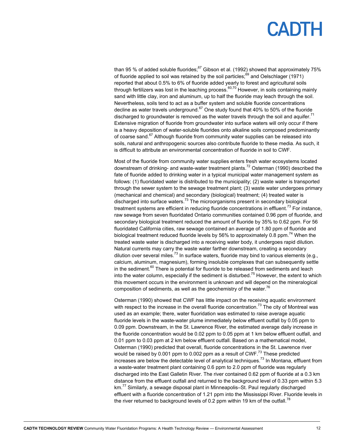than 95 % of added soluble fluorides; $67$  Gibson et al. (1992) showed that approximately 75% of fluoride applied to soil was retained by the soil particles; $^{69}$  and Oelschlager (1971) reported that about 0.5% to 6% of fluoride added yearly to forest and agricultural soils through fertilizers was lost in the leaching process.<sup>60,70</sup> However, in soils containing mainly sand with little clay, iron and aluminum, up to half the fluoride may leach through the soil. Nevertheless, soils tend to act as a buffer system and soluble fluoride concentrations decline as water travels underground. $67$  One study found that 40% to 50% of the fluoride discharged to groundwater is removed as the water travels through the soil and aquifer.<sup>71</sup> Extensive migration of fluoride from groundwater into surface waters will only occur if there is a heavy deposition of water-soluble fluorides onto alkaline soils composed predominantly of coarse sand.<sup>67</sup> Although fluoride from community water supplies can be released into soils, natural and anthropogenic sources also contribute fluoride to these media. As such, it is difficult to attribute an environmental concentration of fluoride in soil to CWF.

Most of the fluoride from community water supplies enters fresh water ecosystems located downstream of drinking- and waste-water treatment plants.<sup>72</sup> Osterman (1990) described the fate of fluoride added to drinking water in a typical municipal water management system as follows: (1) fluoridated water is distributed to the municipality; (2) waste water is transported through the sewer system to the sewage treatment plant; (3) waste water undergoes primary (mechanical and chemical) and secondary (biological) treatment; (4) treated water is discharged into surface waters. $^{73}$  The microorganisms present in secondary biological treatment systems are efficient in reducing fluoride concentrations in effluent.<sup>73</sup> For instance, raw sewage from seven fluoridated Ontario communities contained 0.96 ppm of fluoride, and secondary biological treatment reduced the amount of fluoride by 35% to 0.62 ppm. For 56 fluoridated California cities, raw sewage contained an average of 1.80 ppm of fluoride and biological treatment reduced fluoride levels by 56% to approximately 0.8 ppm.<sup>74</sup> When the treated waste water is discharged into a receiving water body, it undergoes rapid dilution. Natural currents may carry the waste water farther downstream, creating a secondary dilution over several miles.<sup>73</sup> In surface waters, fluoride may bind to various elements (e.g., calcium, aluminum, magnesium), forming insoluble complexes that can subsequently settle in the sediment. $60$  There is potential for fluoride to be released from sediments and leach into the water column, especially if the sediment is disturbed.<sup>75</sup> However, the extent to which this movement occurs in the environment is unknown and will depend on the mineralogical composition of sediments, as well as the geochemistry of the water. $^{76}$ 

Osterman (1990) showed that CWF has little impact on the receiving aquatic environment with respect to the increase in the overall fluoride concentration.<sup>73</sup> The city of Montreal was used as an example; there, water fluoridation was estimated to raise average aquatic fluoride levels in the waste-water plume immediately below effluent outfall by 0.05 ppm to 0.09 ppm. Downstream, in the St. Lawrence River, the estimated average daily increase in the fluoride concentration would be 0.02 ppm to 0.05 ppm at 1 km below effluent outfall, and 0.01 ppm to 0.03 ppm at 2 km below effluent outfall. Based on a mathematical model, Osterman (1990) predicted that overall, fluoride concentrations in the St. Lawrence river would be raised by 0.001 ppm to 0.002 ppm as a result of CWF.<sup>73</sup> These predicted increases are below the detectable level of analytical techniques.73 In Montana, effluent from a waste-water treatment plant containing 0.6 ppm to 2.0 ppm of fluoride was regularly discharged into the East Galletin River. The river contained 0.62 ppm of fluoride at a 0.3 km distance from the effluent outfall and returned to the background level of 0.33 ppm within 5.3 km.<sup>77</sup> Similarly, a sewage disposal plant in Minneapolis–St. Paul regularly discharged effluent with a fluoride concentration of 1.21 ppm into the Mississippi River. Fluoride levels in the river returned to background levels of 0.2 ppm within 19 km of the outfall.<sup>78</sup>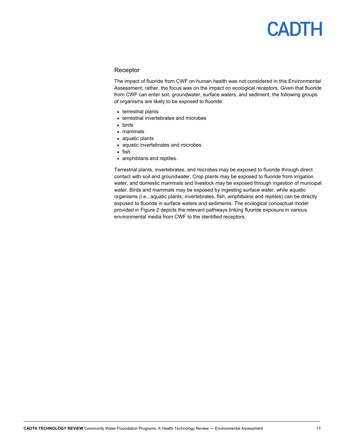### Receptor

The impact of fluoride from CWF on human health was not considered in this Environmental Assessment; rather, the focus was on the impact on ecological receptors. Given that fluoride from CWF can enter soil, groundwater, surface waters, and sediment, the following groups of organisms are likely to be exposed to fluoride:

- terrestrial plants
- terrestrial invertebrates and microbes
- birds
- mammals
- aquatic plants
- aquatic invertebrates and microbes
- $\bullet$  fish
- amphibians and reptiles.

Terrestrial plants, invertebrates, and microbes may be exposed to fluoride through direct contact with soil and groundwater. Crop plants may be exposed to fluoride from irrigation water, and domestic mammals and livestock may be exposed through ingestion of municipal water. Birds and mammals may be exposed by ingesting surface water, while aquatic organisms (i.e., aquatic plants, invertebrates, fish, amphibians and reptiles) can be directly exposed to fluoride in surface waters and sediments. The ecological conceptual model provided in Figure 2 depicts the relevant pathways linking fluoride exposure in various environmental media from CWF to the identified receptors.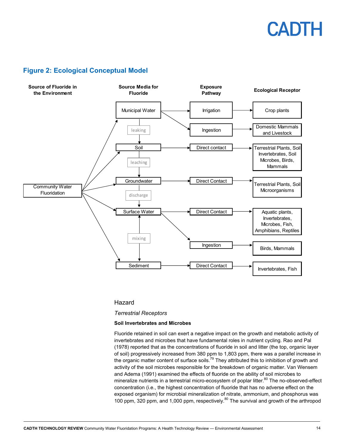### **Figure 2: Ecological Conceptual Model**



### Hazard

### *Terrestrial Receptors*

### **Soil Invertebrates and Microbes**

Fluoride retained in soil can exert a negative impact on the growth and metabolic activity of invertebrates and microbes that have fundamental roles in nutrient cycling. Rao and Pal (1978) reported that as the concentrations of fluoride in soil and litter (the top, organic layer of soil) progressively increased from 380 ppm to 1,803 ppm, there was a parallel increase in the organic matter content of surface soils.<sup>79</sup> They attributed this to inhibition of growth and activity of the soil microbes responsible for the breakdown of organic matter. Van Wensem and Adema (1991) examined the effects of fluoride on the ability of soil microbes to mineralize nutrients in a terrestrial micro-ecosystem of poplar litter.<sup>80</sup> The no-observed-effect concentration (i.e., the highest concentration of fluoride that has no adverse effect on the exposed organism) for microbial mineralization of nitrate, ammonium, and phosphorus was 100 ppm, 320 ppm, and 1,000 ppm, respectively.<sup>80</sup> The survival and growth of the arthropod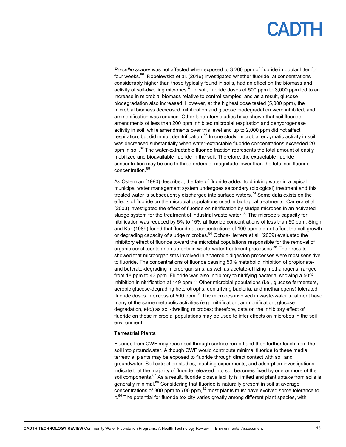*Porcellio scaber* was not affected when exposed to 3,200 ppm of fluoride in poplar litter for four weeks.<sup>80</sup> Ropelewska et al. (2016) investigated whether fluoride, at concentrations considerably higher than those typically found in soils, had an effect on the biomass and activity of soil-dwelling microbes. $81$  In soil, fluoride doses of 500 ppm to 3,000 ppm led to an increase in microbial biomass relative to control samples, and as a result, glucose biodegradation also increased. However, at the highest dose tested (5,000 ppm), the microbial biomass decreased, nitrification and glucose biodegradation were inhibited, and ammonification was reduced. Other laboratory studies have shown that soil fluoride amendments of less than 200 ppm inhibited microbial respiration and dehydrogenase activity in soil, while amendments over this level and up to 2,000 ppm did not affect respiration, but did inhibit denitrification.<sup>68</sup> In one study, microbial enzymatic activity in soil was decreased substantially when water-extractable fluoride concentrations exceeded 20 ppm in soil.<sup>82</sup> The water-extractable fluoride fraction represents the total amount of easily mobilized and bioavailable fluoride in the soil. Therefore, the extractable fluoride concentration may be one to three orders of magnitude lower than the total soil fluoride concentration.<sup>68</sup>

As Osterman (1990) described, the fate of fluoride added to drinking water in a typical municipal water management system undergoes secondary (biological) treatment and this treated water is subsequently discharged into surface waters.<sup>73</sup> Some data exists on the effects of fluoride on the microbial populations used in biological treatments. Carrera et al. (2003) investigated the effect of fluoride on nitrification by sludge microbes in an activated sludge system for the treatment of industrial waste water. $83$  The microbe's capacity for nitrification was reduced by 5% to 15% at fluoride concentrations of less than 50 ppm. Singh and Kar (1989) found that fluoride at concentrations of 100 ppm did not affect the cell growth or degrading capacity of sludge microbes.<sup>84</sup> Ochoa-Herrera et al. (2009) evaluated the inhibitory effect of fluoride toward the microbial populations responsible for the removal of organic constituents and nutrients in waste-water treatment processes.<sup>85</sup> Their results showed that microorganisms involved in anaerobic digestion processes were most sensitive to fluoride. The concentrations of fluoride causing 50% metabolic inhibition of propionateand butyrate-degrading microorganisms, as well as acetate-utilizing methanogens, ranged from 18 ppm to 43 ppm. Fluoride was also inhibitory to nitrifying bacteria, showing a 50% inhibition in nitrification at 149 ppm. $85$  Other microbial populations (i.e., glucose fermenters, aerobic glucose-degrading heterotrophs, denitrifying bacteria, and methanogens) tolerated fluoride doses in excess of 500 ppm.<sup>85</sup> The microbes involved in waste-water treatment have many of the same metabolic activities (e.g., nitrification, ammonification, glucose degradation, etc.) as soil-dwelling microbes; therefore, data on the inhibitory effect of fluoride on these microbial populations may be used to infer effects on microbes in the soil environment.

### **Terrestrial Plants**

Fluoride from CWF may reach soil through surface run-off and then further leach from the soil into groundwater. Although CWF would contribute minimal fluoride to these media, terrestrial plants may be exposed to fluoride through direct contact with soil and groundwater. Soil extraction studies, leaching experiments, and adsorption investigations indicate that the majority of fluoride released into soil becomes fixed by one or more of the soil components.<sup>67</sup> As a result, fluoride bioavailability is limited and plant uptake from soils is generally minimal.<sup>68</sup> Considering that fluoride is naturally present in soil at average concentrations of 300 ppm to 700 ppm, $62$  most plants must have evolved some tolerance to  $it.^{86}$  The potential for fluoride toxicity varies greatly among different plant species, with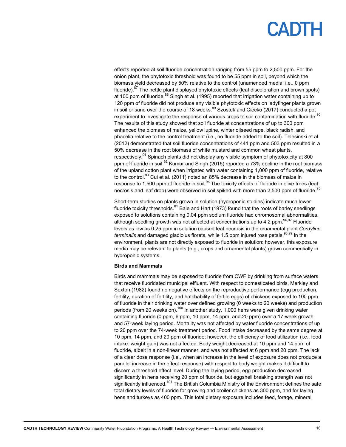effects reported at soil fluoride concentration ranging from 55 ppm to 2,500 ppm. For the onion plant, the phytotoxic threshold was found to be 55 ppm in soil, beyond which the biomass yield decreased by 50% relative to the control (unamended media; i.e., 0 ppm fluoride).<sup>87</sup> The nettle plant displayed phytotoxic effects (leaf discoloration and brown spots) at 100 ppm of fluoride.<sup>88</sup> Singh et al. (1995) reported that irrigation water containing up to 120 ppm of fluoride did not produce any visible phytotoxic effects on ladyfinger plants grown in soil or sand over the course of 18 weeks.<sup>89</sup> Szostek and Ciecko (2017) conducted a pot experiment to investigate the response of various crops to soil contamination with fluoride.<sup>90</sup> The results of this study showed that soil fluoride at concentrations of up to 300 ppm enhanced the biomass of maize, yellow lupine, winter oilseed rape, black radish, and phacelia relative to the control treatment (i.e., no fluoride added to the soil). Telesinski et al. (2012) demonstrated that soil fluoride concentrations of 441 ppm and 503 ppm resulted in a 50% decrease in the root biomass of white mustard and common wheat plants, respectively.<sup>91</sup> Spinach plants did not display any visible symptom of phytotoxicity at 800 ppm of fluoride in soil.<sup>92</sup> Kumar and Singh (2015) reported a 73% decline in the root biomass of the upland cotton plant when irrigated with water containing 1,000 ppm of fluoride, relative to the control.<sup>93</sup> Cui et al. (2011) noted an 85% decrease in the biomass of maize in response to 1,500 ppm of fluoride in soil.<sup>94</sup> The toxicity effects of fluoride in olive trees (leaf necrosis and leaf drop) were observed in soil spiked with more than 2,500 ppm of fluoride.<sup>95</sup>

Short-term studies on plants grown in solution (hydroponic studies) indicate much lower fluoride toxicity thresholds. $61$  Bale and Hart (1973) found that the roots of barley seedlings exposed to solutions containing 0.04 ppm sodium fluoride had chromosomal abnormalities, although seedling growth was not affected at concentrations up to 4.2 ppm.  $96,97$  Fluoride levels as low as 0.25 ppm in solution caused leaf necrosis in the ornamental plant *Cordyline*  terminalis and damaged gladiolus florets, while 1.5 ppm injured rose petals.<sup>98,99</sup> In the environment, plants are not directly exposed to fluoride in solution; however, this exposure media may be relevant to plants (e.g., crops and ornamental plants) grown commercially in hydroponic systems.

### **Birds and Mammals**

Birds and mammals may be exposed to fluoride from CWF by drinking from surface waters that receive fluoridated municipal effluent. With respect to domesticated birds, Merkley and Sexton (1982) found no negative effects on the reproductive performance (egg production, fertility, duration of fertility, and hatchability of fertile eggs) of chickens exposed to 100 ppm of fluoride in their drinking water over defined growing (0 weeks to 20 weeks) and production periods (from 20 weeks on).<sup>100</sup> In another study, 1,000 hens were given drinking water containing fluoride (0 ppm, 6 ppm, 10 ppm, 14 ppm, and 20 ppm) over a 17-week growth and 57-week laying period. Mortality was not affected by water fluoride concentrations of up to 20 ppm over the 74-week treatment period. Food intake decreased by the same degree at 10 ppm, 14 ppm, and 20 ppm of fluoride; however, the efficiency of food utilization (i.e., food intake: weight gain) was not affected. Body weight decreased at 10 ppm and 14 ppm of fluoride, albeit in a non-linear manner, and was not affected at 6 ppm and 20 ppm. The lack of a clear dose response (i.e., when an increase in the level of exposure does not produce a parallel increase in the effect response) with respect to body weight makes it difficult to discern a threshold effect level. During the laying period, egg production decreased significantly in hens receiving 20 ppm of fluoride, but eggshell breaking strength was not significantly influenced.<sup>101</sup> The British Columbia Ministry of the Environment defines the safe total dietary levels of fluoride for growing and broiler chickens as 300 ppm, and for laying hens and turkeys as 400 ppm. This total dietary exposure includes feed, forage, mineral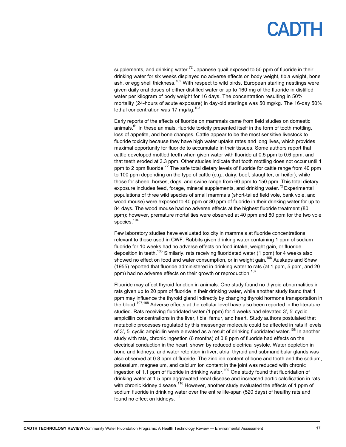## PADTH

supplements, and drinking water.<sup>72</sup> Japanese quail exposed to 50 ppm of fluoride in their drinking water for six weeks displayed no adverse effects on body weight, tibia weight, bone ash, or egg shell thickness.<sup>102</sup> With respect to wild birds, European starling nestlings were given daily oral doses of either distilled water or up to 160 mg of the fluoride in distilled water per kilogram of body weight for 16 days. The concentration resulting in 50% mortality (24-hours of acute exposure) in day-old starlings was 50 mg/kg. The 16-day 50% lethal concentration was 17 mg/kg. $103$ 

Early reports of the effects of fluoride on mammals came from field studies on domestic animals. $^{61}$  In these animals, fluoride toxicity presented itself in the form of tooth mottling, loss of appetite, and bone changes. Cattle appear to be the most sensitive livestock to fluoride toxicity because they have high water uptake rates and long lives, which provides maximal opportunity for fluoride to accumulate in their tissues. Some authors report that cattle developed mottled teeth when given water with fluoride at 0.5 ppm to 0.6 ppm, and that teeth eroded at 3.3 ppm. Other studies indicate that tooth mottling does not occur until 1 ppm to 2 ppm fluoride.<sup>72</sup> The safe total dietary levels of fluoride for cattle range from 40 ppm to 100 ppm depending on the type of cattle (e.g., dairy, beef, slaughter, or heifer), while those for sheep, horses, dogs, and swine range from 60 ppm to 150 ppm. This total dietary exposure includes feed, forage, mineral supplements, and drinking water. $72$  Experimental populations of three wild species of small mammals (short-tailed field vole, bank vole, and wood mouse) were exposed to 40 ppm or 80 ppm of fluoride in their drinking water for up to 84 days. The wood mouse had no adverse effects at the highest fluoride treatment (80 ppm); however, premature mortalities were observed at 40 ppm and 80 ppm for the two vole species.<sup>104</sup>

Few laboratory studies have evaluated toxicity in mammals at fluoride concentrations relevant to those used in CWF. Rabbits given drinking water containing 1 ppm of sodium fluoride for 10 weeks had no adverse effects on food intake, weight gain, or fluoride deposition in teeth.<sup>105</sup> Similarly, rats receiving fluoridated water (1 ppm) for 4 weeks also showed no effect on food and water consumption, or in weight gain.<sup>106</sup> Auskaps and Shaw (1955) reported that fluoride administered in drinking water to rats (at 1 ppm, 5 ppm, and 20 ppm) had no adverse effects on their growth or reproduction.<sup>107</sup>

Fluoride may affect thyroid function in animals. One study found no thyroid abnormalities in rats given up to 20 ppm of fluoride in their drinking water, while another study found that 1 ppm may influence the thyroid gland indirectly by changing thyroid hormone transportation in the blood.<sup>107,108</sup> Adverse effects at the cellular level have also been reported in the literature studied. Rats receiving fluoridated water (1 ppm) for 4 weeks had elevated 3', 5' cyclic ampicillin concentrations in the liver, tibia, femur, and heart. Study authors postulated that metabolic processes regulated by this messenger molecule could be affected in rats if levels of 3', 5' cyclic ampicillin were elevated as a result of drinking fluoridated water.<sup>106</sup> In another study with rats, chronic ingestion (6 months) of 0.8 ppm of fluoride had effects on the electrical conduction in the heart, shown by reduced electrical systole. Water depletion in bone and kidneys, and water retention in liver, atria, thyroid and submandibular glands was also observed at 0.8 ppm of fluoride. The zinc ion content of bone and tooth and the sodium, potassium, magnesium, and calcium ion content in the joint was reduced with chronic ingestion of 1.1 ppm of fluoride in drinking water.<sup>109</sup> One study found that fluoridation of drinking water at 1.5 ppm aggravated renal disease and increased aortic calcification in rats with chronic kidney disease.<sup>110</sup> However, another study evaluated the effects of 1 ppm of sodium fluoride in drinking water over the entire life-span (520 days) of healthy rats and found no effect on kidneys.<sup>111</sup>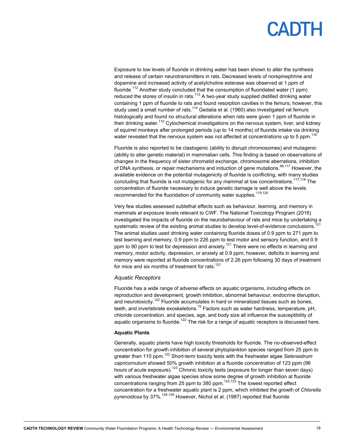# PADIH

Exposure to low levels of fluoride in drinking water has been shown to alter the synthesis and release of certain neurotransmitters in rats. Decreased levels of norepinephrine and dopamine and increased activity of acetylcholine esterase was observed at 1 ppm of fluoride.<sup>112</sup> Another study concluded that the consumption of fluoridated water (1 ppm) reduced the stores of insulin in rats. $113$  A two-year study supplied distilled drinking water containing 1 ppm of fluoride to rats and found resorption cavities in the femurs; however, this study used a small number of rats.<sup>114</sup> Gedalia et al. (1960) also investigated rat femurs histologically and found no structural alterations when rats were given 1 ppm of fluoride in their drinking water.<sup>115</sup> Cytochemical investigations on the nervous system, liver, and kidney of squirrel monkeys after prolonged periods (up to 14 months) of fluoride intake via drinking water revealed that the nervous system was not affected at concentrations up to 5 ppm.<sup>116</sup>

Fluoride is also reported to be clastogenic (ability to disrupt chromosomes) and mutagenic (ability to alter genetic material) in mammalian cells. This finding is based on observations of changes in the frequency of sister chromatid exchange, chromosome aberrations, inhibition of DNA synthesis, or repair mechanisms and induction of gene mutations.<sup>66,117</sup> However, the available evidence on the potential mutagenicity of fluoride is conflicting, with many studies concluding that fluoride is not mutagenic for any mammal at low concentrations.<sup>117,118</sup> The concentration of fluoride necessary to induce genetic damage is well above the levels recommended for the fluoridation of community water supplies.<sup>119,120</sup>

Very few studies assessed sublethal effects such as behaviour, learning, and memory in mammals at exposure levels relevant to CWF. The National Toxicology Program (2016) investigated the impacts of fluoride on the neurobehaviour of rats and mice by undertaking a systematic review of the existing animal studies to develop level-of-evidence conclusions.<sup>121</sup> The animal studies used drinking water containing fluoride doses of 0.9 ppm to 271 ppm to test learning and memory, 0.9 ppm to 226 ppm to test motor and sensory function, and 0.9 ppm to 90 ppm to test for depression and anxiety.<sup>121</sup> There were no effects in learning and memory, motor activity, depression, or anxiety at 0.9 ppm; however, deficits in learning and memory were reported at fluoride concentrations of 2.26 ppm following 30 days of treatment for mice and six months of treatment for rats. $121$ 

### *Aquatic Receptors*

Fluoride has a wide range of adverse effects on aquatic organisms, including effects on reproduction and development, growth inhibition, abnormal behaviour, endocrine disruption, and neurotoxicity.<sup>122</sup> Fluoride accumulates in hard or mineralized tissues such as bones, teeth, and invertebrate exoskeletons.<sup>72</sup> Factors such as water hardness, temperature, pH, chloride concentration, and species, age, and body size all influence the susceptibility of aquatic organisms to fluoride.<sup>122</sup> The risk for a range of aquatic receptors is discussed here.

### **Aquatic Plants**

Generally, aquatic plants have high toxicity thresholds for fluoride. The no-observed-effect concentration for growth inhibition of several phytoplankton species ranged from 25 ppm to greater than 110 ppm.122 Short-term toxicity tests with the freshwater algae *Selenastrum capricornutum* showed 50% growth inhibition at a fluoride concentration of 123 ppm (96 hours of acute exposure).<sup>123</sup> Chronic toxicity tests (exposure for longer than seven days) with various freshwater algae species show some degree of growth inhibition at fluoride concentrations ranging from 25 ppm to 380 ppm.<sup>122,123</sup> The lowest reported effect concentration for a freshwater aquatic plant is 2 ppm, which inhibited the growth of *Chlorella pyrenoidosa* by 37%.124-126 However, Nichol et al. (1987) reported that fluoride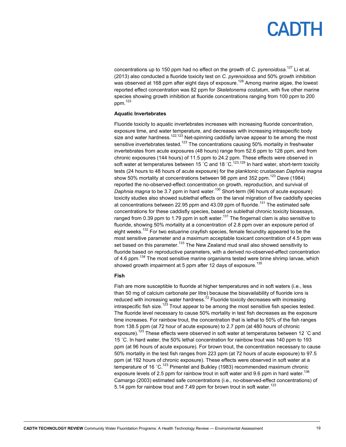## PADTH

concentrations up to 150 ppm had no effect on the growth of *C. pyrenoidosa.*127 Li et al. (2013) also conducted a fluoride toxicity test on *C. pyrenoidosa* and 50% growth inhibition was observed at 168 ppm after eight days of exposure.<sup>128</sup> Among marine algae, the lowest reported effect concentration was 82 ppm for *Skeletonema costatu*m, with five other marine species showing growth inhibition at fluoride concentrations ranging from 100 ppm to 200 ppm.123

#### **Aquatic Invertebrates**

Fluoride toxicity to aquatic invertebrates increases with increasing fluoride concentration, exposure time, and water temperature, and decreases with increasing intraspecific body size and water hardness.<sup>122,123</sup> Net-spinning caddisfly larvae appear to be among the most sensitive invertebrates tested.<sup>123</sup> The concentrations causing 50% mortality in freshwater invertebrates from acute exposures (48 hours) range from 52.6 ppm to 128 ppm, and from chronic exposures (144 hours) of 11.5 ppm to 24.2 ppm. These effects were observed in soft water at temperatures between 15 °C and 18 °C.<sup>123,129</sup> In hard water, short-term toxicity tests (24 hours to 48 hours of acute exposure) for the planktonic crustacean *Daphnia magna* show 50% mortality at concentrations between 98 ppm and 352 ppm. $^{123}$  Dave (1984) reported the no-observed-effect concentration on growth, reproduction, and survival of *Daphnia magna* to be 3.7 ppm in hard water.<sup>130</sup> Short-term (96 hours of acute exposure) toxicity studies also showed sublethal effects on the larval migration of five caddisfly species at concentrations between 22.95 ppm and 43.09 ppm of fluoride.<sup>131</sup> The estimated safe concentrations for these caddisfly species, based on sublethal chronic toxicity bioassays, ranged from 0.39 ppm to 1.79 ppm in soft water.<sup>131</sup> The fingernail clam is also sensitive to fluoride, showing 50% mortality at a concentration of 2.8 ppm over an exposure period of eight weeks.<sup>132</sup> For two estuarine crayfish species, female fecundity appeared to be the most sensitive parameter and a maximum acceptable toxicant concentration of 4.5 ppm was set based on this parameter.<sup>133</sup> The New Zealand mud snail also showed sensitivity to fluoride based on reproductive parameters, with a derived no-observed-effect concentration of 4.6 ppm.<sup>134</sup> The most sensitive marine organisms tested were brine shrimp larvae, which showed growth impairment at 5 ppm after 12 days of exposure.<sup>135</sup>

#### **Fish**

Fish are more susceptible to fluoride at higher temperatures and in soft waters (i.e., less than 50 mg of calcium carbonate per litre) because the bioavailability of fluoride ions is reduced with increasing water hardness.<sup> $72$ </sup> Fluoride toxicity decreases with increasing intraspecific fish size.<sup>123</sup> Trout appear to be among the most sensitive fish species tested. The fluoride level necessary to cause 50% mortality in test fish decreases as the exposure time increases. For rainbow trout, the concentration that is lethal to 50% of the fish ranges from 138.5 ppm (at 72 hour of acute exposure) to 2.7 ppm (at 480 hours of chronic exposure).<sup>123</sup> These effects were observed in soft water at temperatures between 12 °C and 15 ˚C. In hard water, the 50% lethal concentration for rainbow trout was 140 ppm to 193 ppm (at 96 hours of acute exposure). For brown trout, the concentration necessary to cause 50% mortality in the test fish ranges from 223 ppm (at 72 hours of acute exposure) to 97.5 ppm (at 192 hours of chronic exposure). These effects were observed in soft water at a temperature of 16 ˚C.123 Pimentel and Bulkley (1983) recommended maximum chronic exposure levels of 2.5 ppm for rainbow trout in soft water and 9.6 ppm in hard water.<sup>136</sup> Camargo (2003) estimated safe concentrations (i.e., no-observed-effect concentrations) of 5.14 ppm for rainbow trout and 7.49 ppm for brown trout in soft water.<sup>123</sup>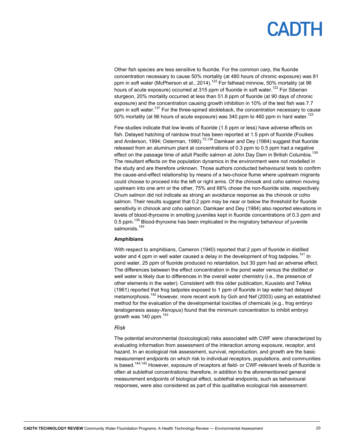Other fish species are less sensitive to fluoride. For the common carp, the fluoride concentration necessary to cause 50% mortality (at 480 hours of chronic exposure) was 81 ppm in soft water (McPherson et al., 2014).<sup>122</sup> For fathead minnow, 50% mortality (at 96 hours of acute exposure) occurred at 315 ppm of fluoride in soft water.<sup>122</sup> For Siberian sturgeon, 20% mortality occurred at less than 51.8 ppm of fluoride (at 90 days of chronic exposure) and the concentration causing growth inhibition in 10% of the test fish was 7.7 ppm in soft water.<sup>137</sup> For the three-spined stickleback, the concentration necessary to cause 50% mortality (at 96 hours of acute exposure) was 340 ppm to 460 ppm in hard water.<sup>123</sup>

Few studies indicate that low levels of fluoride (1.5 ppm or less) have adverse effects on fish. Delayed hatching of rainbow trout has been reported at 1.5 ppm of fluoride (Foulkes and Anderson, 1994; Osterman, 1990).<sup>73,138</sup> Damkaer and Dey (1984) suggest that fluoride released from an aluminum plant at concentrations of 0.3 ppm to 0.5 ppm had a negative effect on the passage time of adult Pacific salmon at John Day Dam in British Columbia.<sup>139</sup> The resultant effects on the population dynamics in the environment were not modelled in the study and are therefore unknown. Those authors conducted behavioural tests to confirm the cause-and-effect relationship by means of a two-choice flume where upstream migrants could choose to proceed into the left or right arms. Of the chinook and coho salmon moving upstream into one arm or the other, 75% and 66% chose the non-fluoride side, respectively. Chum salmon did not indicate as strong an avoidance response as the chinook or coho salmon. Their results suggest that 0.2 ppm may be near or below the threshold for fluoride sensitivity in chinook and coho salmon. Damkaer and Dey (1984) also reported elevations in levels of blood-thyroxine in smolting juveniles kept in fluoride concentrations of 0.3 ppm and 0.5 ppm.<sup>139</sup> Blood-thyroxine has been implicated in the migratory behaviour of juvenile salmonids.<sup>140</sup>

### **Amphibians**

With respect to amphibians, Cameron (1940) reported that 2 ppm of fluoride in distilled water and 4 ppm in well water caused a delay in the development of frog tadpoles.<sup>141</sup> In pond water, 25 ppm of fluoride produced no retardation, but 30 ppm had an adverse effect. The differences between the effect concentration in the pond water versus the distilled or well water is likely due to differences in the overall water chemistry (i.e., the presence of other elements in the water). Consistent with this older publication, Kuusisto and Telkka (1961) reported that frog tadpoles exposed to 1 ppm of fluoride in tap water had delayed metamorphosis.<sup>142</sup> However, more recent work by Goh and Nef (2003) using an established method for the evaluation of the developmental toxicities of chemicals (e.g., frog embryo teratogenesis assay-*Xenopus*) found that the minimum concentration to inhibit embryo growth was 140 ppm. $143$ 

### *Risk*

The potential environmental (toxicological) risks associated with CWF were characterized by evaluating information from assessment of the interaction among exposure, receptor, and hazard. In an ecological risk assessment, survival, reproduction, and growth are the basic measurement endpoints on which risk to individual receptors, populations, and communities is based.<sup>144,145</sup> However, exposure of receptors at field- or CWF-relevant levels of fluoride is often at sublethal concentrations; therefore, in addition to the aforementioned general measurement endpoints of biological effect, sublethal endpoints, such as behavioural responses, were also considered as part of this qualitative ecological risk assessment.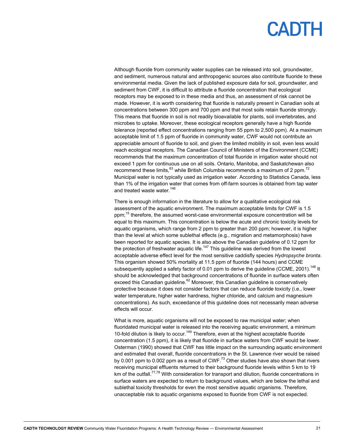Although fluoride from community water supplies can be released into soil, groundwater, and sediment, numerous natural and anthropogenic sources also contribute fluoride to these environmental media. Given the lack of published exposure data for soil, groundwater, and sediment from CWF, it is difficult to attribute a fluoride concentration that ecological receptors may be exposed to in these media and thus, an assessment of risk cannot be made. However, it is worth considering that fluoride is naturally present in Canadian soils at concentrations between 300 ppm and 700 ppm and that most soils retain fluoride strongly. This means that fluoride in soil is not readily bioavailable for plants, soil invertebrates, and microbes to uptake. Moreover, these ecological receptors generally have a high fluoride tolerance (reported effect concentrations ranging from 55 ppm to 2,500 ppm). At a maximum acceptable limit of 1.5 ppm of fluoride in community water, CWF would not contribute an appreciable amount of fluoride to soil, and given the limited mobility in soil, even less would reach ecological receptors. The Canadian Council of Ministers of the Environment (CCME) recommends that the maximum concentration of total fluoride in irrigation water should not exceed 1 ppm for continuous use on all soils. Ontario, Manitoba, and Saskatchewan also recommend these limits, $63$  while British Columbia recommends a maximum of 2 ppm.<sup>72</sup> Municipal water is not typically used as irrigation water. According to Statistics Canada, less than 1% of the irrigation water that comes from off-farm sources is obtained from tap water and treated waste water.<sup>146</sup>

There is enough information in the literature to allow for a qualitative ecological risk assessment of the aquatic environment. The maximum acceptable limits for CWF is 1.5 ppm;<sup>15</sup> therefore, the assumed worst-case environmental exposure concentration will be equal to this maximum. This concentration is below the acute and chronic toxicity levels for aquatic organisms, which range from 2 ppm to greater than 200 ppm; however, it is higher than the level at which some sublethal effects (e.g., migration and metamorphosis) have been reported for aquatic species. It is also above the Canadian guideline of 0.12 ppm for the protection of freshwater aquatic life.<sup>147</sup> This guideline was derived from the lowest acceptable adverse effect level for the most sensitive caddisfly species *Hydropsyche bronta*. This organism showed 50% mortality at 11.5 ppm of fluoride (144 hours) and CCME subsequently applied a safety factor of 0.01 ppm to derive the guideline (CCME, 2001).<sup>148</sup> It should be acknowledged that background concentrations of fluoride in surface waters often exceed this Canadian guideline. $62$  Moreover, this Canadian guideline is conservatively protective because it does not consider factors that can reduce fluoride toxicity (i.e., lower water temperature, higher water hardness, higher chloride, and calcium and magnesium concentrations). As such, exceedance of this guideline does not necessarily mean adverse effects will occur.

What is more, aquatic organisms will not be exposed to raw municipal water; when fluoridated municipal water is released into the receiving aquatic environment, a minimum 10-fold dilution is likely to occur.<sup>149</sup> Therefore, even at the highest acceptable fluoride concentration (1.5 ppm), it is likely that fluoride in surface waters from CWF would be lower. Osterman (1990) showed that CWF has little impact on the surrounding aquatic environment and estimated that overall, fluoride concentrations in the St. Lawrence river would be raised by 0.001 ppm to 0.002 ppm as a result of CWF. $^{73}$  Other studies have also shown that rivers receiving municipal effluents returned to their background fluoride levels within 5 km to 19 km of the outfall.<sup>77,78</sup> With consideration for transport and dilution, fluoride concentrations in surface waters are expected to return to background values, which are below the lethal and sublethal toxicity thresholds for even the most sensitive aquatic organisms. Therefore, unacceptable risk to aquatic organisms exposed to fluoride from CWF is not expected.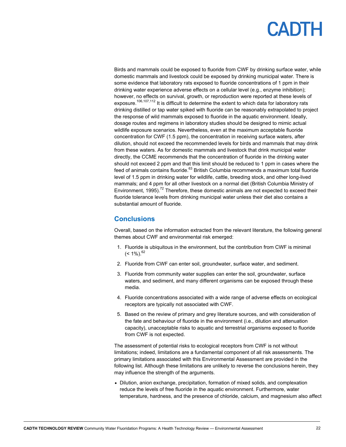Birds and mammals could be exposed to fluoride from CWF by drinking surface water, while domestic mammals and livestock could be exposed by drinking municipal water. There is some evidence that laboratory rats exposed to fluoride concentrations of 1 ppm in their drinking water experience adverse effects on a cellular level (e.g., enzyme inhibition); however, no effects on survival, growth, or reproduction were reported at these levels of exposure.<sup>106,107,112</sup> It is difficult to determine the extent to which data for laboratory rats drinking distilled or tap water spiked with fluoride can be reasonably extrapolated to project the response of wild mammals exposed to fluoride in the aquatic environment. Ideally, dosage routes and regimens in laboratory studies should be designed to mimic actual wildlife exposure scenarios. Nevertheless, even at the maximum acceptable fluoride concentration for CWF (1.5 ppm), the concentration in receiving surface waters, after dilution, should not exceed the recommended levels for birds and mammals that may drink from these waters. As for domestic mammals and livestock that drink municipal water directly, the CCME recommends that the concentration of fluoride in the drinking water should not exceed 2 ppm and that this limit should be reduced to 1 ppm in cases where the feed of animals contains fluoride.<sup>63</sup> British Columbia recommends a maximum total fluoride level of 1.5 ppm in drinking water for wildlife, cattle, breeding stock, and other long-lived mammals; and 4 ppm for all other livestock on a normal diet (British Columbia Ministry of Environment, 1995).<sup>72</sup> Therefore, these domestic animals are not expected to exceed their fluoride tolerance levels from drinking municipal water unless their diet also contains a substantial amount of fluoride.

### **Conclusions**

Overall, based on the information extracted from the relevant literature, the following general themes about CWF and environmental risk emerged:

- 1. Fluoride is ubiquitous in the environment, but the contribution from CWF is minimal  $(< 1\%)$ <sup>62</sup>
- 2. Fluoride from CWF can enter soil, groundwater, surface water, and sediment.
- 3. Fluoride from community water supplies can enter the soil, groundwater, surface waters, and sediment, and many different organisms can be exposed through these media.
- 4. Fluoride concentrations associated with a wide range of adverse effects on ecological receptors are typically not associated with CWF.
- 5. Based on the review of primary and grey literature sources, and with consideration of the fate and behaviour of fluoride in the environment (i.e., dilution and attenuation capacity), unacceptable risks to aquatic and terrestrial organisms exposed to fluoride from CWF is not expected.

The assessment of potential risks to ecological receptors from CWF is not without limitations; indeed, limitations are a fundamental component of all risk assessments. The primary limitations associated with this Environmental Assessment are provided in the following list. Although these limitations are unlikely to reverse the conclusions herein, they may influence the strength of the arguments.

 Dilution, anion exchange, precipitation, formation of mixed solids, and complexation reduce the levels of free fluoride in the aquatic environment. Furthermore, water temperature, hardness, and the presence of chloride, calcium, and magnesium also affect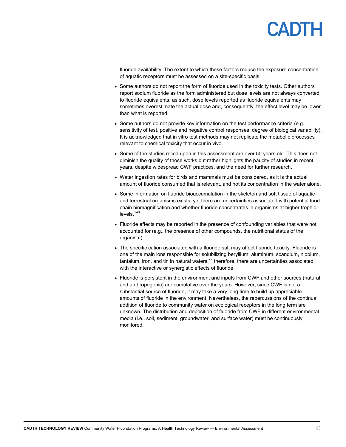# CADIH

fluoride availability. The extent to which these factors reduce the exposure concentration of aquatic receptors must be assessed on a site-specific basis.

- Some authors do not report the form of fluoride used in the toxicity tests. Other authors report sodium fluoride as the form administered but dose levels are not always converted to fluoride equivalents; as such, dose levels reported as fluoride equivalents may sometimes overestimate the actual dose and, consequently, the effect level may be lower than what is reported.
- Some authors do not provide key information on the test performance criteria (e.g., sensitivity of test, positive and negative control responses, degree of biological variability). It is acknowledged that in vitro test methods may not replicate the metabolic processes relevant to chemical toxicity that occur in vivo.
- Some of the studies relied upon in this assessment are over 50 years old. This does not diminish the quality of those works but rather highlights the paucity of studies in recent years, despite widespread CWF practices, and the need for further research.
- Water ingestion rates for birds and mammals must be considered, as it is the actual amount of fluoride consumed that is relevant, and not its concentration in the water alone.
- Some information on fluoride bioaccumulation in the skeleton and soft tissue of aquatic and terrestrial organisms exists, yet there are uncertainties associated with potential food chain biomagnification and whether fluoride concentrates in organisms at higher trophic levels.<sup>148</sup>
- Fluoride effects may be reported in the presence of confounding variables that were not accounted for (e.g., the presence of other compounds, the nutritional status of the organism).
- The specific cation associated with a fluoride salt may affect fluoride toxicity. Fluoride is one of the main ions responsible for solubilizing beryllium, aluminum, scandium, niobium, tantalum, iron, and tin in natural waters;<sup>72</sup> therefore, there are uncertainties associated with the interactive or synergistic effects of fluoride.
- Fluoride is persistent in the environment and inputs from CWF and other sources (natural and anthropogenic) are cumulative over the years. However, since CWF is not a substantial source of fluoride, it may take a very long time to build up appreciable amounts of fluoride in the environment. Nevertheless, the repercussions of the continual addition of fluoride to community water on ecological receptors in the long term are unknown. The distribution and deposition of fluoride from CWF in different environmental media (i.e., soil, sediment, groundwater, and surface water) must be continuously monitored.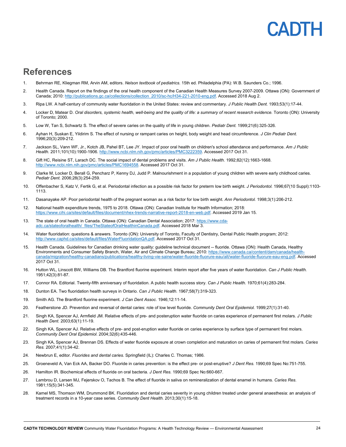## PADIH

### **References**

- 1. Behrman RE, Kliegman RM, Arvin AM, editors. *Nelson textbook of pediatrics.* 15th ed. Philadelphia (PA): W.B. Saunders Co.; 1996.
- 2. Health Canada. Report on the findings of the oral health component of the Canadian Health Measures Survey 2007-2009. Ottawa (ON): Government of Canada; 2010: http://publications.gc.ca/collections/collection\_2010/sc-hc/H34-221-2010-eng.pdf. Accessed 2018 Aug 2.
- 3. Ripa LW. A half-century of community water fluoridation in the United States: review and commentary. *J Public Health Dent.* 1993;53(1):17-44.
- 4. Locker D, Matear D. *Oral disorders, systemic health, well-being and the quality of life: a summary of recent research evidence.* Toronto (ON): University of Toronto; 2000.
- 5. Low W, Tan S, Schwartz S. The effect of severe caries on the quality of life in young children. *Pediatr Dent.* 1999;21(6):325-326.
- 6. Ayhan H, Suskan E, Yildirim S. The effect of nursing or rampant caries on height, body weight and head circumference. *J Clin Pediatr Dent.*  1996;20(3):209-212.
- 7. Jackson SL, Vann WF, Jr., Kotch JB, Pahel BT, Lee JY. Impact of poor oral health on children's school attendance and performance. *Am J Public Health.* 2011;101(10):1900-1906. http://www.ncbi.nlm.nih.gov/pmc/articles/PMC3222359. Accessed 2017 Oct 31.
- 8. Gift HC, Reisine ST, Larach DC. The social impact of dental problems and visits. *Am J Public Health.* 1992;82(12):1663-1668. http://www.ncbi.nlm.nih.gov/pmc/articles/PMC1694558. Accessed 2017 Oct 31.
- 9. Clarke M, Locker D, Berall G, Pencharz P, Kenny DJ, Judd P. Malnourishment in a population of young children with severe early childhood caries. *Pediatr Dent.* 2006;28(3):254-259.
- 10. Offenbacher S, Katz V, Fertik G, et al. Periodontal infection as a possible risk factor for preterm low birth weight. *J Periodontol.* 1996;67(10 Suppl):1103- 1113.
- 11. Dasanayake AP. Poor periodontal health of the pregnant woman as a risk factor for low birth weight. *Ann Periodontol.* 1998;3(1):206-212.
- 12. National health expenditure trends, 1975 to 2018. Ottawa (ON): Canadian Institute for Health Information; 2018: https://www.cihi.ca/sites/default/files/document/nhex-trends-narrative-report-2018-en-web.pdf. Accessed 2019 Jan 15.
- 13. The state of oral health in Canada. Ottawa (ON): Canadian Dental Association; 2017: https://www.cdaadc.ca/stateoforalhealth/\_files/TheStateofOralHealthinCanada.pdf. Accessed 2018 Mar 3.
- 14. Water fluoridation: questions & answers. Toronto (ON): University of Toronto, Faculty of Dentistry, Dental Public Health program; 2012: http://www.caphd.ca/sites/default/files/WaterFluoridationQA.pdf. Accessed 2017 Oct 31.
- 15. Health Canada. Guidelines for Canadian drinking water quality: guideline technical document -- fluoride. Ottawa (ON): Health Canada, Healthy Environments and Consumer Safety Branch, Water, Air and Climate Change Bureau; 2010: https://www.canada.ca/content/dam/canada/healthcanada/migration/healthy-canadians/publications/healthy-living-vie-saine/water-fluoride-fluorure-eau/alt/water-fluoride-fluorure-eau-eng.pdf. Accessed 2017 Oct 31.
- 16. Hutton WL, Linscott BW, Williams DB. The Brantford fluorine experiment. Interim report after five years of water fluoridation. *Can J Public Health.*  1951;42(3):81-87.
- 17. Connor RA. Editorial. Twenty-fifth anniversary of fluoridation. A public health success story. *Can J Public Health.* 1970;61(4):283-284.
- 18. Dunton EA. Two fluoridation health surveys in Ontario. *Can J Public Health.* 1967;58(7):319-323.
- 19. Smith AG. The Brantford fluorine experiment. *J Can Dent Assoc.* 1946;12:11-14.
- 20. Featherstone JD. Prevention and reversal of dental caries: role of low level fluoride. *Community Dent Oral Epidemiol.* 1999;27(1):31-40.
- 21. Singh KA, Spencer AJ, Armfield JM. Relative effects of pre- and posteruption water fluoride on caries experience of permanent first molars. *J Public Health Dent.* 2003;63(1):11-19.
- 22. Singh KA, Spencer AJ. Relative effects of pre- and post-eruption water fluoride on caries experience by surface type of permanent first molars. *Community Dent Oral Epidemiol.* 2004;32(6):435-446.
- 23. Singh KA, Spencer AJ, Brennan DS. Effects of water fluoride exposure at crown completion and maturation on caries of permanent first molars. *Caries Res.* 2007;41(1):34-42.
- 24. Newbrun E, editor. *Fluorides and dental caries.* Springfield (IL): Charles C. Thomas; 1986.
- 25. Groeneveld A, Van Eck AA, Backer DO. Fluoride in caries prevention: is the effect pre- or post-eruptive? *J Dent Res.* 1990;69 Spec No:751-755.
- 26. Hamilton IR. Biochemical effects of fluoride on oral bacteria. *J Dent Res.* 1990;69 Spec No:660-667.
- 27. Lambrou D, Larsen MJ, Fejerskov O, Tachos B. The effect of fluoride in saliva on remineralization of dental enamel in humans. *Caries Res.*  1981;15(5):341-345.
- 28. Kamel MS, Thomson WM, Drummond BK. Fluoridation and dental caries severity in young children treated under general anaesthesia: an analysis of treatment records in a 10-year case series. *Community Dent Health.* 2013;30(1):15-18.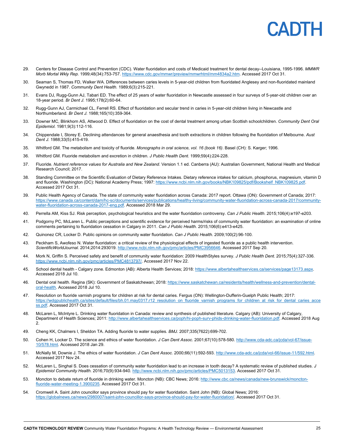# CADIH

- 29. Centers for Disease Control and Prevention (CDC). Water fluoridation and costs of Medicaid treatment for dental decay--Louisiana, 1995-1996. *MMWR Morb Mortal Wkly Rep.* 1999;48(34):753-757. https://www.cdc.gov/mmwr/preview/mmwrhtml/mm4834a2.htm. Accessed 2017 Oct 31.
- 30. Seaman S, Thomas FD, Walker WA. Differences between caries levels in 5-year-old children from fluoridated Anglesey and non-fluoridated mainland Gwynedd in 1987. *Community Dent Health.* 1989;6(3):215-221.
- 31. Evans DJ, Rugg-Gunn AJ, Tabari ED. The effect of 25 years of water fluoridation in Newcastle assessed in four surveys of 5-year-old children over an 18-year period. *Br Dent J.* 1995;178(2):60-64.
- 32. Rugg-Gunn AJ, Carmichael CL, Ferrell RS. Effect of fluoridation and secular trend in caries in 5-year-old children living in Newcastle and Northumberland. *Br Dent J.* 1988;165(10):359-364.
- 33. Downer MC, Blinkhorn AS, Attwood D. Effect of fluoridation on the cost of dental treatment among urban Scottish schoolchildren. *Community Dent Oral Epidemiol.* 1981;9(3):112-116.
- 34. Chippendale I, Storey E. Declining attendances for general anaesthesia and tooth extractions in children following the fluoridation of Melbourne. *Aust Dent J.* 1988;33(5):415-419.
- 35. Whitford GM. The metabolism and toxicity of fluoride. *Monographs in oral science, vol. 16 (book 16)*. Basel (CH): S. Karger; 1996.
- 36. Whitford GM. Fluoride metabolism and excretion in children. *J Public Health Dent.* 1999;59(4):224-228.
- 37. Fluoride. *Nutrient reference values for Australia and New Zealand*. Version 1.1 ed. Canberra (AU): Australian Government, National Health and Medical Research Council; 2017.
- 38. Standing Committee on the Scientific Evaluation of Dietary Reference Intakes. Dietary reference intakes for calcium, phosphorus, magnesium, vitamin D and fluoride. Washington (DC): National Academy Press; 1997: https://www.ncbi.nlm.nih.gov/books/NBK109825/pdf/Bookshelf\_NBK109825.pdf. Accessed 2017 Oct 31.
- 39. Public Health Agency of Canada. The state of community water fluoridation across Canada: 2017 report. Ottawa (ON): Government of Canada; 2017: https://www.canada.ca/content/dam/hc-sc/documents/services/publications/healthy-living/community-water-fluoridation-across-canada-2017/communitywater-fluoridation-across-canada-2017-eng.pdf. Accessed 2018 Mar 29.
- 40. Perrella AM, Kiss SJ. Risk perception, psychological heuristics and the water fluoridation controversy. *Can J Public Health.* 2015;106(4):e197-e203.
- 41. Podgorny PC, McLaren L. Public perceptions and scientific evidence for perceived harms/risks of community water fluoridation: an examination of online comments pertaining to fluoridation cessation in Calgary in 2011. *Can J Public Health.* 2015;106(6):e413-e425.
- 42. Quinonez CR, Locker D. Public opinions on community water fluoridation. *Can J Public Health.* 2009;100(2):96-100.
- 43. Peckham S, Awofeso N. Water fluoridation: a critical review of the physiological effects of ingested fluoride as a public health intervention. *ScientificWorldJournal.* 2014;2014:293019. http://www.ncbi.nlm.nih.gov/pmc/articles/PMC3956646. Accessed 2017 Sep 20.
- 44. Mork N, Griffin S. Perceived safety and benefit of community water fluoridation: 2009 HealthStyles survey. *J Public Health Dent.* 2015;75(4):327-336. https://www.ncbi.nlm.nih.gov/pmc/articles/PMC4813797/. Accessed 2017 Nov 22.
- 45. School dental health Calgary zone. Edmonton (AB): Alberta Health Services; 2018: https://www.albertahealthservices.ca/services/page13173.aspx. Accessed 2018 Jul 10.
- 46. Dental oral health. Regina (SK): Government of Saskatchewan; 2018: https://www.saskatchewan.ca/residents/health/wellness-and-prevention/dentaloral-health. Accessed 2018 Jul 10.
- 47. Resolution on fluoride varnish programs for children at risk for dental caries. Fergus (ON): Wellington-Dufferin-Guelph Public Health; 2017: https://wdgpublichealth.ca/sites/default/files/bh.01.may0317.r12\_resolution\_on\_fluoride\_varnish\_programs\_for\_children\_at\_risk\_for\_dental\_caries\_acce ss.pdf. Accessed 2017 Oct 31.
- 48. McLaren L, McIntyre L. Drinking water fluoridation in Canada: review and synthesis of published literature. Calgary (AB): University of Calgary, Department of Health Sciences; 2011: http://www.albertahealthservices.ca/poph/hi-poph-surv-phids-drinking-water-fluoridation.pdf. Accessed 2018 Aug 2.
- 49. Cheng KK, Chalmers I, Sheldon TA. Adding fluoride to water supplies. *BMJ.* 2007;335(7622):699-702.
- 50. Cohen H, Locker D. The science and ethics of water fluoridation. *J Can Dent Assoc.* 2001;67(10):578-580. http://www.cda-adc.ca/jcda/vol-67/issue-10/578.html. Accessed 2018 Jan 29.
- 51. McNally M, Downie J. The ethics of water fluoridation. *J Can Dent Assoc.* 2000;66(11):592-593. http://www.cda-adc.ca/jcda/vol-66/issue-11/592.html. Accessed 2017 Nov 24.
- 52. McLaren L, Singhal S. Does cessation of community water fluoridation lead to an increase in tooth decay? A systematic review of published studies. *J Epidemiol Community Health.* 2016;70(9):934-940. http://www.ncbi.nlm.nih.gov/pmc/articles/PMC5013153. Accessed 2017 Oct 31.
- 53. Moncton to debate return of fluoride in drinking water. Moncton (NB): CBC News; 2016: http://www.cbc.ca/news/canada/new-brunswick/monctonfluoride-water-meeting-1.3900235. Accessed 2017 Oct 31.
- 54. Cromwell A. Saint John councillor says province should pay for water fluoridation. Saint John (NB): Global News; 2016: https://globalnews.ca/news/2980007/saint-john-councillor-says-province-should-pay-for-water-fluoridation/. Accessed 2017 Oct 31.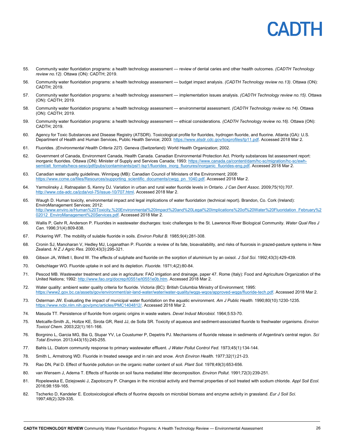

- 55. Community water fluoridation programs: a health technology assessment review of dental caries and other health outcomes. *(CADTH Technology review no.12)*. Ottawa (ON): CADTH; 2019.
- 56. Community water fluoridation programs: a health technology assessment budget impact analysis. *(CADTH Technology review no.13)*. Ottawa (ON): CADTH; 2019.
- 57. Community water fluoridation programs: a health technology assessment implementation issues analysis. *(CADTH Technology review no.15)*. Ottawa (ON): CADTH; 2019.
- 58. Community water fluoridation programs: a health technology assessment environmental assessment. *(CADTH Technology review no.14)*. Ottawa (ON): CADTH; 2019.
- 59. Community water fluoridation programs: a health technology assessment ethical considerations. *(CADTH Technology review no.16)*. Ottawa (ON): CADTH; 2019.
- 60. Agency for Toxic Substances and Disease Registry (ATSDR). Toxicological profile for fluorides, hydrogen fluoride, and fluorine. Atlanta (GA): U.S. Department of Health and Human Services, Public Health Service; 2003: https://www.atsdr.cdc.gov/toxprofiles/tp11.pdf. Accessed 2018 Mar 2.
- 61. Fluorides. *(Environmental Health Criteria 227)*. Geneva (Switzerland): World Health Organization; 2002.
- 62. Government of Canada, Environment Canada, Health Canada. Canadian Environmental Protection Act. Priority substances list assessment report: inorganic fluorides. Ottawa (ON): Minister of Supply and Services Canada; 1993: https://www.canada.ca/content/dam/hc-sc/migration/hc-sc/ewhsemt/alt\_formats/hecs-sesc/pdf/pubs/contaminants/psl1-lsp1/fluorides\_inorg\_fluorures/inorganic\_fluorides-eng.pdf. Accessed 2018 Mar 2.
- 63. Canadian water quality guidelines. Winnipeg (MB): Canadian Council of Ministers of the Environment; 2008: https://www.ccme.ca/files/Resources/supporting\_scientific\_documents/cwqg\_pn\_1040.pdf. Accessed 2018 Mar 2.
- 64. Yarmolinsky J, Ratnapalan S, Kenny DJ. Variation in urban and rural water fluoride levels in Ontario. *J Can Dent Assoc.* 2009;75(10):707. http://www.cda-adc.ca/jcda/vol-75/issue-10/707.html. Accessed 2018 Mar 2.
- 65. Waugh D. Human toxicity, environmental impact and legal implications of water fluoridation (technical report). Brandon, Co. Cork (Ireland): EnviroManagement Services; 2012: http://www.enviro.ie/Human%20Toxicity,%20Environmental%20Impact%20and%20Legal%20Implications%20of%20Water%20Fluoridation\_February%2 02012 EnviroManagement%20Services.pdf. Accessed 2018 Mar 2.
- 66. Wallis P, Gehr R, Anderson P. Fluorides in wastewater discharges: toxic challenges to the St. Lawrence River Biological Community. *Water Qual Res J Can.* 1996;31(4):809-838.
- 67. Pickering WF. The mobility of sulable fluoride in soils. *Environ Pollut B.* 1985;9(4):281-308.
- 68. Cronin SJ, Manoharan V, Hedley MJ, Loganathan P. Fluoride: a review of its fate, bioavailability, and risks of fluorosis in grazed-pasture systems in New Zealand. *N Z J Agric Res.* 2000;43(3):295-321.
- 69. Gibson JA, Willett I, Bond W. The effects of sulphate and fluoride on the sorption of aluminium by an oxisol. *J Soil Sci.* 1992;43(3):429-439.
- 70. Oelschlager WO. Fluoride uptake in soil and its depletion. *Fluoride.* 1971;4(2):80-84.
- 71. Pescod MB. Wastewater treatment and use in agriculture: FAO irrigation and drainage, paper 47. Rome (Italy): Food and Agriculture Organization of the United Nations; 1992: http://www.fao.org/docrep/t0551e/t0551e0b.htm. Accessed 2018 Mar 2.
- 72. Water quality: ambient water quality criteria for fluoride. Victoria (BC): British Columbia Ministry of Environment; 1995: https://www2.gov.bc.ca/assets/gov/environment/air-land-water/water/water-quality/wqgs-wqos/approved-wqgs/fluoride-tech.pdf. Accessed 2018 Mar 2.
- 73. Osterman JW. Evaluating the impact of municipal water fluoridation on the aquatic environment. *Am J Public Health.* 1990;80(10):1230-1235. https://www.ncbi.nlm.nih.gov/pmc/articles/PMC1404812/. Accessed 2018 Mar 2.
- 74. Masuda TT. Persistence of fluoride from organic origins in waste waters. *Devel Indust Microbiol.* 1964;5:53-70.
- 75. Metcalfe-Smith JL, Holtze KE, Sirota GR, Reid JJ, de Solla SR. Toxicity of aqueous and sediment-associated fluoride to freshwater organisms. *Environ Toxicol Chem.* 2003;22(1):161-166.
- 76. Borgnino L, Garcia MG, Bia G, Stupar YV, Le Coustumer P, Depetris PJ. Mechanisms of fluoride release in sediments of Argentina's central region. *Sci Total Environ.* 2013;443(15):245-255.
- 77. Bahls LL. Diatom community response to primary wastewater effluent. *J Water Pollut Control Fed.* 1973;45(1):134-144.
- 78. Smith L, Armstrong WD. Fluoride in treated sewage and in rain and snow. *Arch Environ Health.* 1977;32(1):21-23.
- 79. Rao DN, Pal D. Effect of fluoride pollution on the organic matter content of soil. *Plant Soil.* 1978;49(3):653-656.
- 80. van Wensem J, Adema T. Effects of fluoride on soil fauna mediated litter decomposition. *Environ Pollut.* 1991;72(3):239-251.
- 81. Ropelewska E, Dziejowski J, Zapotoczny P. Changes in the microbial activity and thermal properties of soil treated with sodium chloride. *Appl Soil Ecol.*  2016;98:159-165.
- 82. Tscherko D, Kandeler E. Ecotoxicological effects of fluorine deposits on microbial biomass and enzyme activity in grassland. *Eur J Soil Sci.*  1997;48(2):329-335.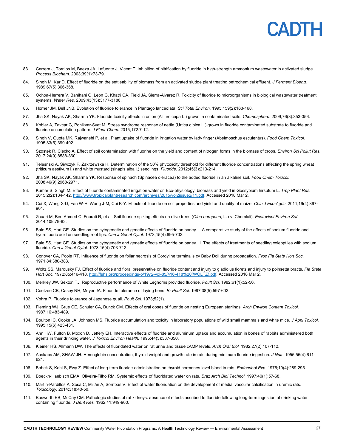## **PADTI**

- 83. Carrera J, Torrijos M, Baeza JA, Lafuente J, Vicent T. Inhibition of nitrification by fluoride in high-strength ammonium wastewater in activated sludge. *Process Biochem.* 2003;39(1):73-79.
- 84. Singh M, Kar D. Effect of fluoride on the settleability of biomass from an activated sludge plant treating petrochemical effluent. *J Ferment Bioeng.*  1989;67(5):366-368.
- 85. Ochoa-Herrera V, Banihani Q, León G, Khatri CA, Field JA, Sierra-Alvarez R. Toxicity of fluoride to microorganisms in biological wastewater treatment systems. *Water Res.* 2009;43(13):3177-3186.
- 86. Horner JM, Bell JNB. Evolution of fluoride tolerance in Plantago lanceolata. *Sci Total Environ.* 1995;159(2):163-168.
- 87. Jha SK, Nayak AK, Sharma YK. Fluoride toxicity effects in onion (Allium cepa L.) grown in contaminated soils. *Chemosphere.* 2009;76(3):353-356.
- 88. Koblar A, Tavcar G, Ponikvar-Svet M. Stress syndrome response of nettle (Urtica dioica L.) grown in fluoride contaminated substrate to fluoride and fluorine accumulation pattern. *J Fluor Chem.* 2015;172:7-12.
- 89. Singh V, Gupta MK, Rajwanshi P, et al. Plant uptake of fluoride in irrigation water by lady finger (Abelmoschus esculentus). *Food Chem Toxicol.*  1995;33(5):399-402.
- 90. Szostek R, Ciecko A. Effect of soil contamination with fluorine on the yield and content of nitrogen forms in the biomass of crops. *Environ Sci Pollut Res.*  2017;24(9):8588-8601.
- 91. Telesnski A, Siwczyk F, Zakrzewska H. Determination of the 50% phytoxicity threshold for different fluoride concentrations affecting the spring wheat (triticum aestivum l.) and white mustard (sinapis alba l.) seedlings. *Fluoride.* 2012;45(3):213-214.
- 92. Jha SK, Nayak AK, Sharma YK. Response of spinach (Spinacea oleracea) to the added fluoride in an alkaline soil. *Food Chem Toxicol.*  2008;46(9):2968-2971.
- 93. Kumar S, Singh M. Effect of fluoride contaminated irrigation water on Eco-physiology, biomass and yield in Gossypium hirsutum L. *Trop Plant Res.*  2015;2(2):134-142. http://www.tropicalplantresearch.com/archives/2015/vol2issue2/11.pdf. Accessed 2018 Mar 2.
- 94. Cui X, Wang X-D, Fan W-H, Wang J-M, Cui K-Y. Effects of fluoride on soil properties and yield and quality of maize. *Chin J Eco-Agric.* 2011;19(4):897- 901.
- 95. Zouari M, Ben Ahmed C, Fourati R, et al. Soil fluoride spiking effects on olive trees (*Olea europaea*, L. cv. Chemlali). *Ecotoxicol Environ Saf.*  2014;108:78-83.
- 96. Bale SS, Hart GE. Studies on the cytogenetic and genetic effects of fluoride on barley. I. A comparative study of the effects of sodium fluoride and hydrofluoric acid on seedling root tips. *Can J Genet Cytol.* 1973;15(4):695-702.
- 97. Bale SS, Hart GE. Studies on the cytogenetic and genetic effects of fluoride on barley. II. The effects of treatments of seedling coleoptiles with sodium fluoride. *Can J Genet Cytol.* 1973;15(4):703-712.
- 98. Conover CA, Poole RT. Influence of fluoride on foliar necrosis of Cordyline terminalis cv Baby Doll during propagation. *Proc Fla State Hort Soc.*  1971;84:380-383.
- 99. Woltz SS, Marousky FJ. Effect of fluoride and floral preservative on fluoride content and injury to gladiolus florets and injury to poinsetta bracts. *Fla State Hort Soc.* 1972;85:416-418. http://fshs.org/proceedings-o/1972-vol-85/416-418%20(WOLTZ).pdf. Accessed 2018 Mar 2.
- 100. Merkley JW, Sexton TJ. Reproductive performance of White Leghorns provided fluoride. *Poult Sci.* 1982;61(1):52-56.
- 101. Coetzee CB, Casey NH, Meyer JA. Fluoride tolerance of laying hens. *Br Poult Sci.* 1997;38(5):597-602.
- 102. Vohra P. Fluoride tolerance of Japanese quail. *Poult Sci.* 1973;52(1).
- 103. Fleming WJ, Grue CE, Schuler CA, Bunck CM. Effects of oral doses of fluoride on nesting European starlings. *Arch Environ Contam Toxicol.*  1987;16:483-489.
- 104. Boulton IC, Cooke JA, Johnson MS. Fluoride accumulation and toxicity in laboratory populations of wild small mammals and white mice. *J Appl Toxicol.*  1995;15(6):423-431.
- 105. Ahn HW, Fulton B, Moxon D, Jeffery EH. Interactive effects of fluoride and aluminum uptake and accumulation in bones of rabbits administered both agents in their drinking water. *J Toxicol Environ Health.* 1995;44(3):337-350.
- 106. Kleiner HS, Allmann DW. The effects of fluoridated water on rat urine and tissue cAMP levels. *Arch Oral Biol.* 1982;27(2):107-112.
- 107. Auskaps AM, SHAW JH. Hemoglobin concentration, thyroid weight and growth rate in rats during minimum fluoride ingestion. *J Nutr.* 1955;55(4):611- 621.
- 108. Bobek S, Kahl S, Ewy Z. Effect of long-term fluoride administration on thyroid hormones level blood in rats. *Endocrinol Exp.* 1976;10(4):289-295.
- 109. Boeckh-Haebisch EMA, Oliveira-Filho RM. Systemic effects of fluoridated water on rats. *Braz Arch Biol Technol.* 1997;40(1):57-68.
- 110. Martín-Pardillos A, Sosa C, Millán A, Sorribas V. Effect of water fluoridation on the development of medial vascular calcification in uremic rats. *Toxicology.* 2014;318:40-50.
- 111. Bosworth EB, McCay CM. Pathologic studies of rat kidneys: absence of effects ascribed to fluoride following long-term ingestion of drinking water containing fluoride. *J Dent Res.* 1962;41:949-960.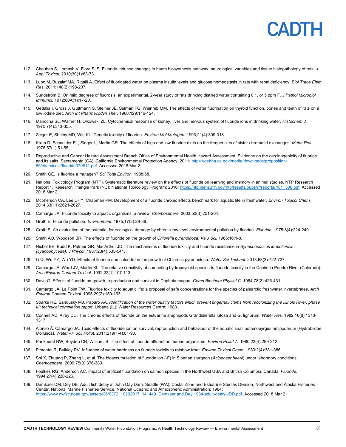## PADIH

- 112. Chouhan S, Lomash V, Flora SJS. Fluoride-induced changes in haem biosynthesis pathway, neurological variables and tissue histopathology of rats. *J Appl Toxicol.* 2010;30(1):63-73.
- 113. Lupo M, Buzalaf MA, Rigalli A. Effect of fluoridated water on plasma insulin levels and glucose homeostasis in rats with renal deficiency. *Biol Trace Elem Res.* 2011;140(2):198-207.
- 114. Sundstrom B. On mild degrees of fluorosis: an experimental, 2-year study of rats drinking distilled water containing 0,1, or 5 ppm F. *J Pathol Microbiol Immunol.* 1972;80A(1):17-20.
- 115. Gedalia I, Gross J, Guttmann S, Steiner JE, Sulman FG, Weinreb MM. The effects of water fluorination on thyroid function, bones and teeth of rats on a low iodine diet. *Arch Int Pharmacodyn Ther.* 1960;129:116-124.
- 116. Manocha SL, Warner H, Olkowski ZL. Cytochemical response of kidney, liver and nervous system of fluoride ions in drinking water. *Histochem J.*  1975;7(4):343-355.
- 117. Zeiger E, Shelby MD, Witt KL. Genetic toxicity of fluoride. *Environ Mol Mutagen.* 1993;21(4):309-318.
- 118. Kram D, Schneider EL, Singer L, Martin GR. The effects of high and low fluoride diets on the frequencies of sister chromatid exchanges. *Mutat Res.*  1978;57(1):51-55.
- 119. Reproductive and Cancer Hazard Assessment Branch Office of Environmental Health Hazard Assessment. Evidence on the carcinogenicity of fluoride and its salts. Sacramento (CA): California Environmental Protection Agency; 2011: https://oehha.ca.gov/media/downloads/proposition-65/chemicals/fluoride070811.pdf. Accessed 2018 Mar 2.
- 120. Smith GE. Is fluoride a mutagen? *Sci Total Environ.* 1988;68.
- 121. National Toxicology Program (NTP). Systematic literature review on the effects of fluoride on learning and memory in animal studies. NTP Research Report 1. Research Triangle Park (NC): National Toxicology Program; 2016: https://ntp.niehs.nih.gov/ntp/results/pubs/rr/reports/rr01\_508.pdf. Accessed 2018 Mar 2.
- 122. Mcpherson CA, Lee DHY, Chapman PM. Development of a fluoride chronic effects benchmark for aquatic life in freshwater. *Environ Toxicol Chem.*  2014;33(11):2621-2627.
- 123. Camargo JA. Fluoride toxicity to aquatic organisms: a review. *Chemosphere.* 2003;50(3):251-264.
- 124. Groth E. Fluoride pollution. *Environment.* 1975;17(3):29-38.
- 125. Groth E. An evaluation of the potential for ecological damage by chronic low-level environmental pollution by fluoride. *Fluoride.* 1975;8(4):224-240.
- 126. Smith AO, Woodson BR. The effects of fluoride on the growth of *Chlorella pyrenoidosa*. *Va J Sci.* 1965;16:1-8.
- 127. Nichol BE, Budd K, Palmer GR, MacArthur JD. The mechanisms of fluoride toxicity and fluoride resistance in *Synechococcus leopoliensis (cyanophyceae)*. *J Phycol.* 1987;23(4):535-541.
- 128. Li Q, Wu YY, Wu YD. Effects of fluoride and chloride on the growth of Chlorella pyrenoidosa. *Water Sci Technol.* 2013;68(3):722-727.
- 129. Camargo JA, Ward JV, Martin KL. The relative sensitivity of competing hydropsychid species to fluoride toxicity in the Cache la Poudre River (Colorado). *Arch Environ Contam Toxicol.* 1992;22(1):107-113.
- 130. Dave G. Effects of fluoride on growth, reproduction and survival in Daphnia magna. *Comp Biochem Physiol C.* 1984;78(2):425-431.
- 131. Camargo JA, La Point TW. Fluoride toxicity to aquatic life: a proposal of safe concentrations for five species of palearctic freshwater invertebrates. *Arch Environ Contam Toxicol.* 1995;29(2):159-163.
- 132. Sparks RE, Sandusky MJ, Paparo AA. *Identification of the water quality factors which prevent fingernail clams from recolonizing the Illinois River, phase III: technical completion report.* Urbana (IL): Water Resources Centre; 1983.
- 133. Connell AD, Airey DD. The chronic effects of fluoride on the estuarine amphipods Grandidierella lutosa and G. lignorum. *Water Res.* 1982;16(8):1313- 1317.
- 134. Alonso Á, Camargo JA. Toxic effects of fluoride ion on survival, reproduction and behaviour of the aquatic snail potamopyrgus antipodarum (Hydrobiidae, Mollusca). *Water Air Soil Pollut.* 2011;219(1-4):81-90.
- 135. Pankhurst NW, Boyden CR, Wilson JB. The effect of fluoride effluent on marine organisms. *Environ Pollut A.* 1980;23(4):299-312.
- 136. Pimentel R, Bulkley RV. Influence of water hardness on fluoride toxicity to rainbow trout. *Environ Toxicol Chem.* 1983;2(4):381-386.
- 137. Shi X, Zhuang P, Zhang L, et al. The bioaccumulation of fluoride ion (-F) in Siberian sturgeon (*Acipenser baerii*) under laboratory conditions. *Chemosphere.* 2009;75(3):376-380.
- 138. Foulkes RG, Anderson AC. Impact of artificial fluoridation on salmon species in the Northwest USA and British Columbia, Canada. *Fluoride.*  1994;27(4):220-226.
- 139. Damkaer DM, Dey DB. Adult fish delay at John Day Dam. Seattle (WA): Costal Zone and Estuarine Studies Division, Northwest and Alaska Fisheries Center, National Marine Fisheries Service, National Oceanic and Atmospheric Administration; 1984: https://www.nwfsc.noaa.gov/assets/26/6372\_10202017\_141449\_Damkaer.and.Dey.1984-adult-dealy-JDD.pdf. Accessed 2018 Mar 2.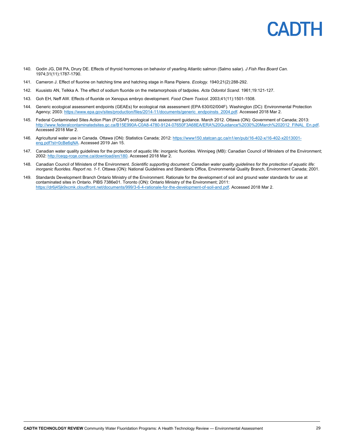

- 140. Godin JG, Dill PA, Drury DE. Effects of thyroid hormones on behavior of yearling Atlantic salmon (Salmo salar). *J Fish Res Board Can.*  1974;31(11):1787-1790.
- 141. Cameron J. Effect of fluorine on hatching time and hatching stage in Rana Pipiens. *Ecology.* 1940;21(2):288-292.
- 142. Kuusisto AN, Telkka A. The effect of sodium fluoride on the metamorphosis of tadpoles. *Acta Odontol Scand.* 1961;19:121-127.
- 143. Goh EH, Neff AW. Effects of fluoride on Xenopus embryo development. *Food Chem Toxicol.* 2003;41(11):1501-1508.
- 144. Generic ecological assessment endpoints (GEAEs) for ecological risk assessment (EPA 630/02/004F). Washington (DC): Environmental Protection Agency; 2003: https://www.epa.gov/sites/production/files/2014-11/documents/generic\_endpoinsts\_2004.pdf. Accessed 2018 Mar 2.
- 145. Federal Contaminated Sites Action Plan (FCSAP) ecological risk assessment guidance. March 2012. Ottawa (ON): Government of Canada; 2013: http://www.federalcontaminatedsites.gc.ca/B15E990A-C0A8-4780-9124-07650F3A68EA/ERA%20Guidance%2030%20March%202012\_FINAL\_En.pdf. Accessed 2018 Mar 2.
- 146. Agricultural water use in Canada. Ottawa (ON): Statistics Canada; 2012: https://www150.statcan.gc.ca/n1/en/pub/16-402-x/16-402-x2013001eng.pdf?st=0cBe6qNA. Accessed 2019 Jan 15.
- 147. Canadian water quality guidelines for the protection of aquatic life: inorganic fluorides. Winnipeg (MB): Canadian Council of Ministers of the Environment; 2002: http://ceqg-rcqe.ccme.ca/download/en/180. Accessed 2018 Mar 2.
- 148. Canadian Council of Ministers of the Environment. *Scientific supporting document: Canadian water quality guidelines for the protection of aquatic life: inorganic fluorides. Report no. 1-1.* Ottawa (ON): National Guidelines and Standards Office, Environmental Quality Branch, Environment Canada; 2001.
- 149. Standards Development Branch Ontario Ministry of the Environment. Rationale for the development of soil and ground water standards for use at contaminated sites in Ontario. PIBS 7386e01. Toronto (ON): Ontario Ministry of the Environment; 2011: https://dr6j45jk9xcmk.cloudfront.net/documents/999/3-6-4-rationale-for-the-development-of-soil-and.pdf. Accessed 2018 Mar 2.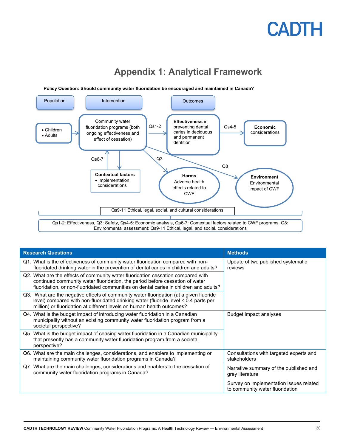

### **Appendix 1: Analytical Framework**

| <b>Research Questions</b>                                                                                                                                                                                                                                 | <b>Methods</b>                                                             |
|-----------------------------------------------------------------------------------------------------------------------------------------------------------------------------------------------------------------------------------------------------------|----------------------------------------------------------------------------|
| Q1. What is the effectiveness of community water fluoridation compared with non-<br>fluoridated drinking water in the prevention of dental caries in children and adults?                                                                                 | Update of two published systematic<br>reviews                              |
| Q2. What are the effects of community water fluoridation cessation compared with<br>continued community water fluoridation, the period before cessation of water<br>fluoridation, or non-fluoridated communities on dental caries in children and adults? |                                                                            |
| Q3. What are the negative effects of community water fluoridation (at a given fluoride<br>level) compared with non-fluoridated drinking water (fluoride level < 0.4 parts per<br>million) or fluoridation at different levels on human health outcomes?   |                                                                            |
| Q4. What is the budget impact of introducing water fluoridation in a Canadian<br>municipality without an existing community water fluoridation program from a<br>societal perspective?                                                                    | Budget impact analyses                                                     |
| Q5. What is the budget impact of ceasing water fluoridation in a Canadian municipality<br>that presently has a community water fluoridation program from a societal<br>perspective?                                                                       |                                                                            |
| Q6. What are the main challenges, considerations, and enablers to implementing or<br>maintaining community water fluoridation programs in Canada?                                                                                                         | Consultations with targeted experts and<br>stakeholders                    |
| Q7. What are the main challenges, considerations and enablers to the cessation of<br>community water fluoridation programs in Canada?                                                                                                                     | Narrative summary of the published and<br>grey literature                  |
|                                                                                                                                                                                                                                                           | Survey on implementation issues related<br>to community water fluoridation |

**Policy Question: Should community water fluoridation be encouraged and maintained in Canada?**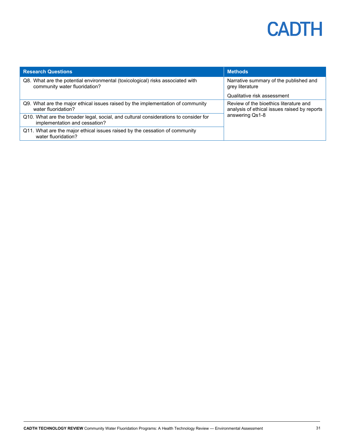| <b>Research Questions</b>                                                                                             | <b>Methods</b>                                                                         |  |
|-----------------------------------------------------------------------------------------------------------------------|----------------------------------------------------------------------------------------|--|
| Q8. What are the potential environmental (toxicological) risks associated with<br>community water fluoridation?       | Narrative summary of the published and<br>grey literature                              |  |
|                                                                                                                       | Qualitative risk assessment                                                            |  |
| Q9. What are the major ethical issues raised by the implementation of community<br>water fluoridation?                | Review of the bioethics literature and<br>analysis of ethical issues raised by reports |  |
| Q10. What are the broader legal, social, and cultural considerations to consider for<br>implementation and cessation? | answering Qs1-8                                                                        |  |
| Q11. What are the major ethical issues raised by the cessation of community<br>water fluoridation?                    |                                                                                        |  |